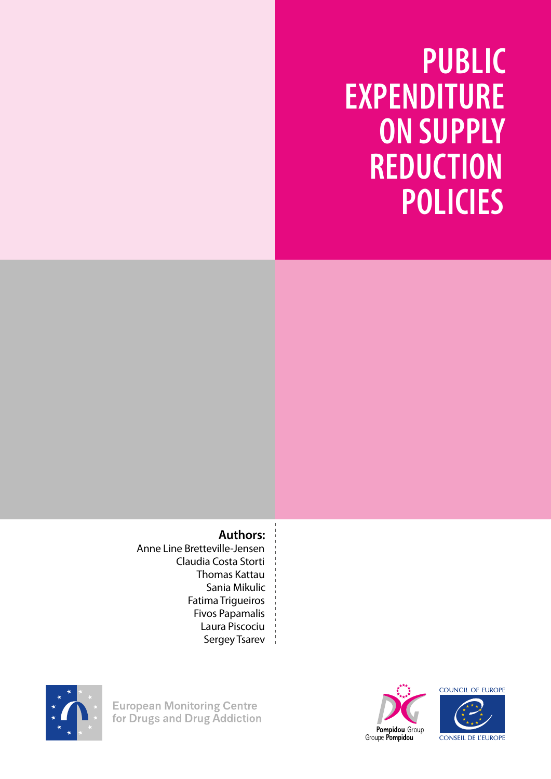**PUBLIC EXPENDITURE ON SUPPLY REDUCTION POLICIES**

### **Authors:**

Anne Line Bretteville-Jensen Claudia Costa Storti Thomas Kattau Sania Mikulic Fatima Trigueiros Fivos Papamalis Laura Piscociu Sergey Tsarev



**European Monitoring Centre** for Drugs and Drug Addiction



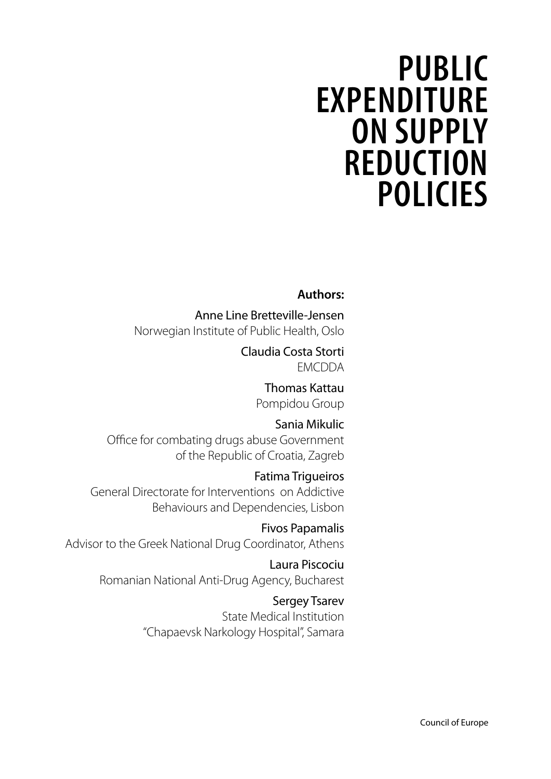# **PUBLIC EXPENDITURE ON SUPPLY REDUCTION POLICIES**

### **Authors:**

Anne Line Bretteville-Jensen Norwegian Institute of Public Health, Oslo

> Claudia Costa Storti EMCDDA

> > Thomas Kattau Pompidou Group

Sania Mikulic Office for combating drugs abuse Government of the Republic of Croatia, Zagreb

Fatima Trigueiros General Directorate for Interventions on Addictive Behaviours and Dependencies, Lisbon

Fivos Papamalis Advisor to the Greek National Drug Coordinator, Athens

> Laura Piscociu Romanian National Anti-Drug Agency, Bucharest

> > Sergey Tsarev State Medical Institution "Chapaevsk Narkology Hospital", Samara

> > > Council of Europe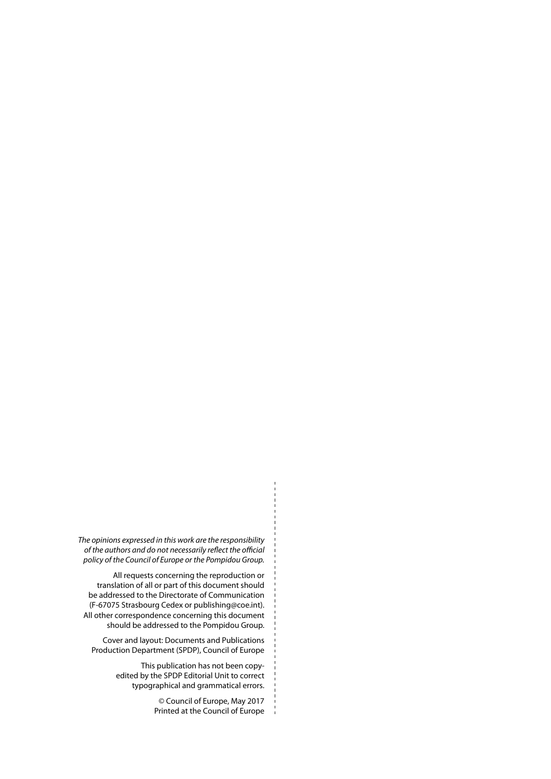*The opinions expressed in this work are the responsibility of the authors and do not necessarily reflect the official policy of the Council of Europe or the Pompidou Group.* 

All requests concerning the reproduction or translation of all or part of this document should be addressed to the Directorate of Communication (F-67075 Strasbourg Cedex or publishing@coe.int). All other correspondence concerning this document should be addressed to the Pompidou Group.

Cover and layout: Documents and Publications Production Department (SPDP), Council of Europe

> This publication has not been copyedited by the SPDP Editorial Unit to correct typographical and grammatical errors.

> > © Council of Europe, May 2017 Printed at the Council of Europe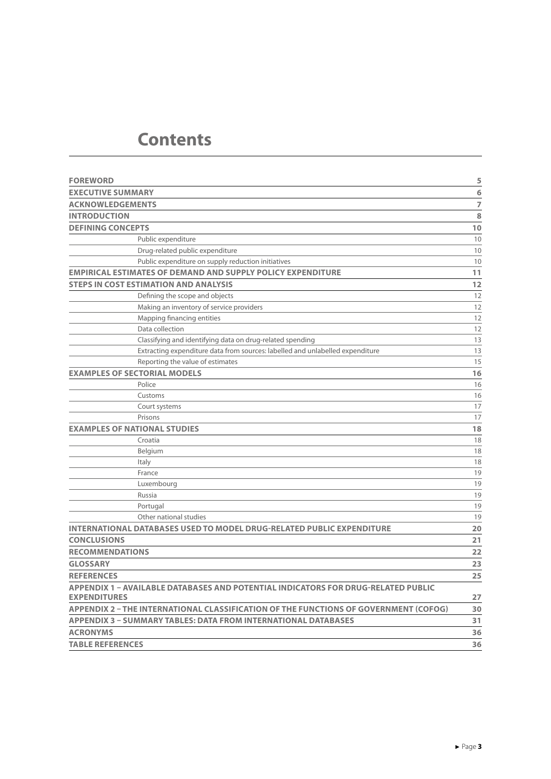### **Contents**

| <b>FOREWORD</b>                                                                      | 5              |
|--------------------------------------------------------------------------------------|----------------|
| <b>EXECUTIVE SUMMARY</b>                                                             | 6              |
| <b>ACKNOWLEDGEMENTS</b>                                                              | $\overline{7}$ |
| <b>INTRODUCTION</b>                                                                  | 8              |
| <b>DEFINING CONCEPTS</b>                                                             | 10             |
| Public expenditure                                                                   | 10             |
| Drug-related public expenditure                                                      | 10             |
| Public expenditure on supply reduction initiatives                                   | 10             |
| <b>EMPIRICAL ESTIMATES OF DEMAND AND SUPPLY POLICY EXPENDITURE</b>                   | 11             |
| <b>STEPS IN COST ESTIMATION AND ANALYSIS</b>                                         | 12             |
| Defining the scope and objects                                                       | 12             |
| Making an inventory of service providers                                             | 12             |
| Mapping financing entities                                                           | 12             |
| Data collection                                                                      | 12             |
| Classifying and identifying data on drug-related spending                            | 13             |
| Extracting expenditure data from sources: labelled and unlabelled expenditure        | 13             |
| Reporting the value of estimates                                                     | 15             |
| <b>EXAMPLES OF SECTORIAL MODELS</b>                                                  | 16             |
| Police                                                                               | 16             |
| Customs                                                                              | 16             |
| Court systems                                                                        | 17             |
| Prisons                                                                              | 17             |
| <b>EXAMPLES OF NATIONAL STUDIES</b>                                                  | 18             |
| Croatia                                                                              | 18             |
| Belgium                                                                              | 18             |
| Italy                                                                                | 18             |
| France                                                                               | 19             |
| Luxembourg                                                                           | 19             |
| Russia                                                                               | 19             |
| Portugal                                                                             | 19             |
| Other national studies                                                               | 19             |
| <b>INTERNATIONAL DATABASES USED TO MODEL DRUG-RELATED PUBLIC EXPENDITURE</b>         | 20             |
| <b>CONCLUSIONS</b>                                                                   | 21             |
| <b>RECOMMENDATIONS</b>                                                               | 22             |
| <b>GLOSSARY</b>                                                                      | 23             |
| <b>REFERENCES</b>                                                                    | 25             |
| APPENDIX 1 - AVAILABLE DATABASES AND POTENTIAL INDICATORS FOR DRUG-RELATED PUBLIC    |                |
| <b>EXPENDITURES</b>                                                                  | 27             |
| APPENDIX 2 - THE INTERNATIONAL CLASSIFICATION OF THE FUNCTIONS OF GOVERNMENT (COFOG) | 30             |
| <b>APPENDIX 3 - SUMMARY TABLES: DATA FROM INTERNATIONAL DATABASES</b>                | 31             |
| <b>ACRONYMS</b>                                                                      | 36             |
| <b>TABLE REFERENCES</b>                                                              | 36             |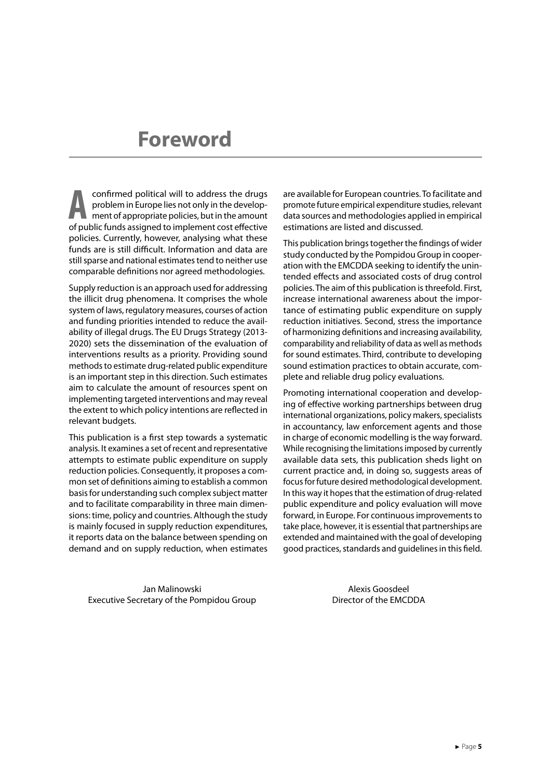### <span id="page-5-0"></span>**Foreword**

**A a confirmed political will to address the drugs<br>
problem in Europe lies not only in the develop-<br>
ment of appropriate policies, but in the amount<br>
of public funds assigned to implement cost effective** problem in Europe lies not only in the developof public funds assigned to implement cost effective policies. Currently, however, analysing what these funds are is still difficult. Information and data are still sparse and national estimates tend to neither use comparable definitions nor agreed methodologies.

Supply reduction is an approach used for addressing the illicit drug phenomena. It comprises the whole system of laws, regulatory measures, courses of action and funding priorities intended to reduce the availability of illegal drugs. The EU Drugs Strategy (2013- 2020) sets the dissemination of the evaluation of interventions results as a priority. Providing sound methods to estimate drug-related public expenditure is an important step in this direction. Such estimates aim to calculate the amount of resources spent on implementing targeted interventions and may reveal the extent to which policy intentions are reflected in relevant budgets.

This publication is a first step towards a systematic analysis. It examines a set of recent and representative attempts to estimate public expenditure on supply reduction policies. Consequently, it proposes a common set of definitions aiming to establish a common basis for understanding such complex subject matter and to facilitate comparability in three main dimensions: time, policy and countries. Although the study is mainly focused in supply reduction expenditures, it reports data on the balance between spending on demand and on supply reduction, when estimates

are available for European countries. To facilitate and promote future empirical expenditure studies, relevant data sources and methodologies applied in empirical estimations are listed and discussed.

This publication brings together the findings of wider study conducted by the Pompidou Group in cooperation with the EMCDDA seeking to identify the unintended effects and associated costs of drug control policies. The aim of this publication is threefold. First, increase international awareness about the importance of estimating public expenditure on supply reduction initiatives. Second, stress the importance of harmonizing definitions and increasing availability, comparability and reliability of data as well as methods for sound estimates. Third, contribute to developing sound estimation practices to obtain accurate, complete and reliable drug policy evaluations.

Promoting international cooperation and developing of effective working partnerships between drug international organizations, policy makers, specialists in accountancy, law enforcement agents and those in charge of economic modelling is the way forward. While recognising the limitations imposed by currently available data sets, this publication sheds light on current practice and, in doing so, suggests areas of focus for future desired methodological development. In this way it hopes that the estimation of drug-related public expenditure and policy evaluation will move forward, in Europe. For continuous improvements to take place, however, it is essential that partnerships are extended and maintained with the goal of developing good practices, standards and guidelines in this field.

Jan Malinowski Executive Secretary of the Pompidou Group

Alexis Goosdeel Director of the EMCDDA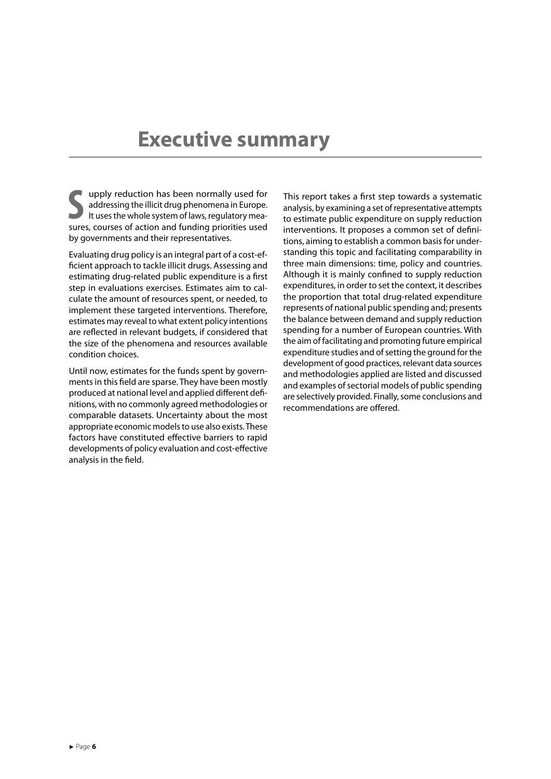### <span id="page-6-0"></span>**Executive summary**

**S**<br>
sures, courses of action and funding priorities used for<br>
sures, courses of action and funding priorities used upply reduction has been normally used for addressing the illicit drug phenomena in Europe. It uses the whole system of laws, regulatory meaby governments and their representatives.

Evaluating drug policy is an integral part of a cost-efficient approach to tackle illicit drugs. Assessing and estimating drug-related public expenditure is a first step in evaluations exercises. Estimates aim to calculate the amount of resources spent, or needed, to implement these targeted interventions. Therefore, estimates may reveal to what extent policy intentions are reflected in relevant budgets, if considered that the size of the phenomena and resources available condition choices.

Until now, estimates for the funds spent by governments in this field are sparse. They have been mostly produced at national level and applied different definitions, with no commonly agreed methodologies or comparable datasets. Uncertainty about the most appropriate economic models to use also exists. These factors have constituted effective barriers to rapid developments of policy evaluation and cost-effective analysis in the field.

This report takes a first step towards a systematic analysis, by examining a set of representative attempts to estimate public expenditure on supply reduction interventions. It proposes a common set of definitions, aiming to establish a common basis for understanding this topic and facilitating comparability in three main dimensions: time, policy and countries. Although it is mainly confined to supply reduction expenditures, in order to set the context, it describes the proportion that total drug-related expenditure represents of national public spending and; presents the balance between demand and supply reduction spending for a number of European countries. With the aim of facilitating and promoting future empirical expenditure studies and of setting the ground for the development of good practices, relevant data sources and methodologies applied are listed and discussed and examples of sectorial models of public spending are selectively provided. Finally, some conclusions and recommendations are offered.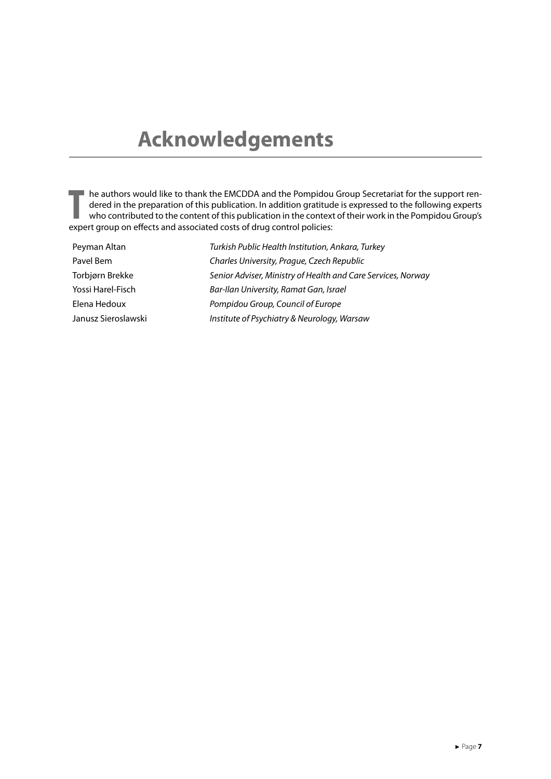# <span id="page-7-0"></span>**Acknowledgements**

THE authors would like to thank the EMCDDA and the Pompidou<br>
dered in the preparation of this publication. In addition gratitud<br>
who contributed to the content of this publication in the contex<br>
expert group on effects and he authors would like to thank the EMCDDA and the Pompidou Group Secretariat for the support rendered in the preparation of this publication. In addition gratitude is expressed to the following experts who contributed to the content of this publication in the context of their work in the Pompidou Group's

| Peyman Altan        | Turkish Public Health Institution, Ankara, Turkey            |
|---------------------|--------------------------------------------------------------|
| Pavel Bem           | Charles University, Prague, Czech Republic                   |
| Torbjørn Brekke     | Senior Adviser, Ministry of Health and Care Services, Norway |
| Yossi Harel-Fisch   | Bar-Ilan University, Ramat Gan, Israel                       |
| Elena Hedoux        | Pompidou Group, Council of Europe                            |
| Janusz Sieroslawski | Institute of Psychiatry & Neurology, Warsaw                  |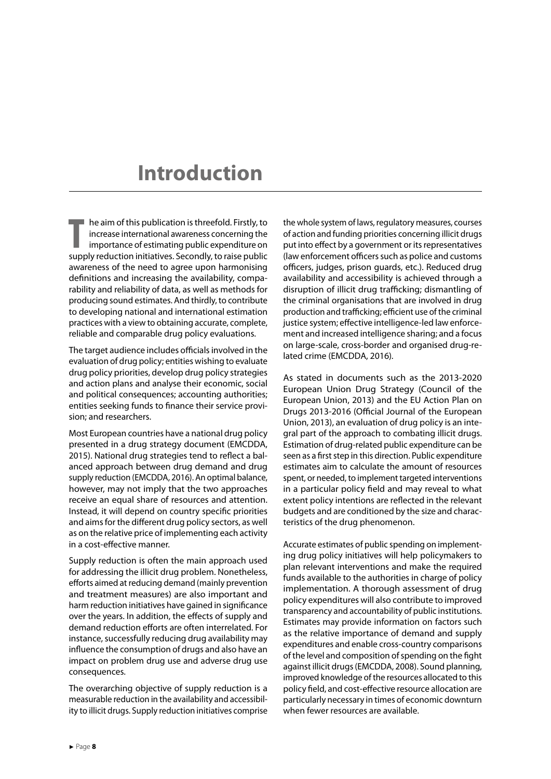### <span id="page-8-0"></span>**Introduction**

**THE MANUS INTERFERITE SUPPLE THE SUPPLE THE SUPPLY THE SUPPLY THE SUPPLY TEMPLE THE SUPPLY TEMPLE SUPPLY THAT SUPPLY TEMPLE SUPPLY TEMPLE SUPPLY TEMPLE SUPPLY TEMPLE SUPPLY TEMPLE SUPPLY TEMPLE SUPPLY TEMPLE SUPPLY TEMPLE**  $\blacksquare$  he aim of this publication is threefold. Firstly, to increase international awareness concerning the importance of estimating public expenditure on awareness of the need to agree upon harmonising definitions and increasing the availability, comparability and reliability of data, as well as methods for producing sound estimates. And thirdly, to contribute to developing national and international estimation practices with a view to obtaining accurate, complete, reliable and comparable drug policy evaluations.

The target audience includes officials involved in the evaluation of drug policy; entities wishing to evaluate drug policy priorities, develop drug policy strategies and action plans and analyse their economic, social and political consequences; accounting authorities; entities seeking funds to finance their service provision; and researchers.

Most European countries have a national drug policy presented in a drug strategy document (EMCDDA, 2015). National drug strategies tend to reflect a balanced approach between drug demand and drug supply reduction (EMCDDA, 2016). An optimal balance, however, may not imply that the two approaches receive an equal share of resources and attention. Instead, it will depend on country specific priorities and aims for the different drug policy sectors, as well as on the relative price of implementing each activity in a cost-effective manner.

Supply reduction is often the main approach used for addressing the illicit drug problem. Nonetheless, efforts aimed at reducing demand (mainly prevention and treatment measures) are also important and harm reduction initiatives have gained in significance over the years. In addition, the effects of supply and demand reduction efforts are often interrelated. For instance, successfully reducing drug availability may influence the consumption of drugs and also have an impact on problem drug use and adverse drug use consequences.

The overarching objective of supply reduction is a measurable reduction in the availability and accessibility to illicit drugs. Supply reduction initiatives comprise the whole system of laws, regulatory measures, courses of action and funding priorities concerning illicit drugs put into effect by a government or its representatives (law enforcement officers such as police and customs officers, judges, prison guards, etc.). Reduced drug availability and accessibility is achieved through a disruption of illicit drug trafficking; dismantling of the criminal organisations that are involved in drug production and trafficking; efficient use of the criminal justice system; effective intelligence-led law enforcement and increased intelligence sharing; and a focus on large-scale, cross-border and organised drug-related crime (EMCDDA, 2016)*.*

As stated in documents such as the 2013-2020 European Union Drug Strategy (Council of the European Union, 2013) and the EU Action Plan on Drugs 2013-2016 (Official Journal of the European Union, 2013), an evaluation of drug policy is an integral part of the approach to combating illicit drugs. Estimation of drug-related public expenditure can be seen as a first step in this direction. Public expenditure estimates aim to calculate the amount of resources spent, or needed, to implement targeted interventions in a particular policy field and may reveal to what extent policy intentions are reflected in the relevant budgets and are conditioned by the size and characteristics of the drug phenomenon.

Accurate estimates of public spending on implementing drug policy initiatives will help policymakers to plan relevant interventions and make the required funds available to the authorities in charge of policy implementation. A thorough assessment of drug policy expenditures will also contribute to improved transparency and accountability of public institutions. Estimates may provide information on factors such as the relative importance of demand and supply expenditures and enable cross-country comparisons of the level and composition of spending on the fight against illicit drugs (EMCDDA, 2008). Sound planning, improved knowledge of the resources allocated to this policy field, and cost-effective resource allocation are particularly necessary in times of economic downturn when fewer resources are available.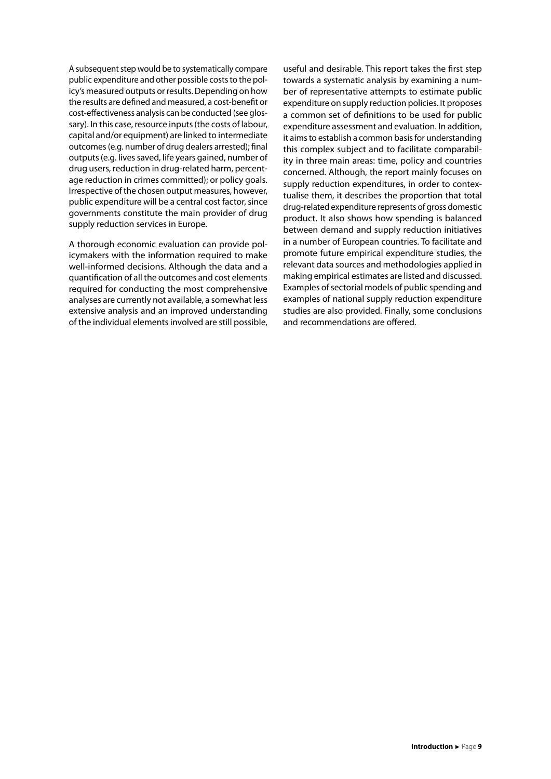A subsequent step would be to systematically compare public expenditure and other possible costs to the policy's measured outputs or results. Depending on how the results are defined and measured, a cost-benefit or cost-effectiveness analysis can be conducted (see glossary). In this case, resource inputs (the costs of labour, capital and/or equipment) are linked to intermediate outcomes (e.g. number of drug dealers arrested); final outputs (e.g. lives saved, life years gained, number of drug users, reduction in drug-related harm, percentage reduction in crimes committed); or policy goals. Irrespective of the chosen output measures, however, public expenditure will be a central cost factor, since governments constitute the main provider of drug supply reduction services in Europe.

A thorough economic evaluation can provide policymakers with the information required to make well-informed decisions. Although the data and a quantification of all the outcomes and cost elements required for conducting the most comprehensive analyses are currently not available, a somewhat less extensive analysis and an improved understanding of the individual elements involved are still possible, useful and desirable. This report takes the first step towards a systematic analysis by examining a number of representative attempts to estimate public expenditure on supply reduction policies. It proposes a common set of definitions to be used for public expenditure assessment and evaluation. In addition, it aims to establish a common basis for understanding this complex subject and to facilitate comparability in three main areas: time, policy and countries concerned. Although, the report mainly focuses on supply reduction expenditures, in order to contextualise them, it describes the proportion that total drug-related expenditure represents of gross domestic product. It also shows how spending is balanced between demand and supply reduction initiatives in a number of European countries. To facilitate and promote future empirical expenditure studies, the relevant data sources and methodologies applied in making empirical estimates are listed and discussed. Examples of sectorial models of public spending and examples of national supply reduction expenditure studies are also provided. Finally, some conclusions and recommendations are offered.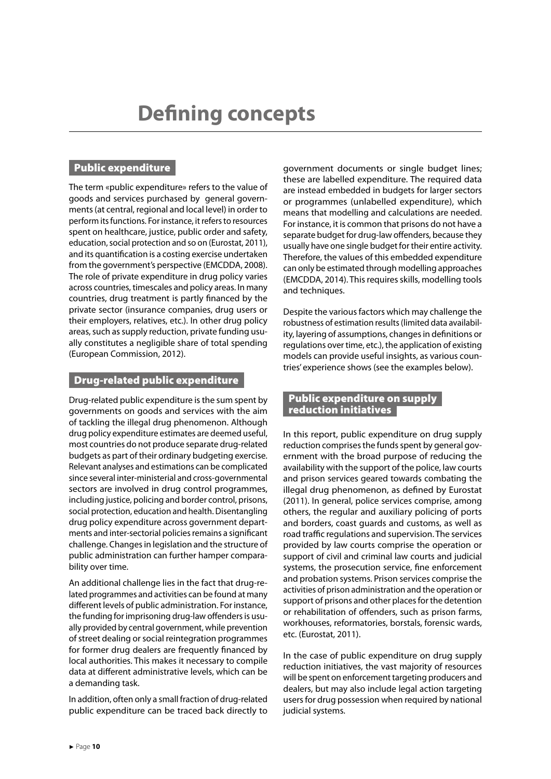#### <span id="page-10-0"></span>Public expenditure

The term «public expenditure» refers to the value of goods and services purchased by general governments (at central, regional and local level) in order to perform its functions. For instance, it refers to resources spent on healthcare, justice, public order and safety, education, social protection and so on (Eurostat, 2011), and its quantification is a costing exercise undertaken from the government's perspective (EMCDDA, 2008). The role of private expenditure in drug policy varies across countries, timescales and policy areas. In many countries, drug treatment is partly financed by the private sector (insurance companies, drug users or their employers, relatives, etc.). In other drug policy areas, such as supply reduction, private funding usually constitutes a negligible share of total spending (European Commission, 2012).

#### Drug-related public expenditure

Drug-related public expenditure is the sum spent by governments on goods and services with the aim of tackling the illegal drug phenomenon. Although drug policy expenditure estimates are deemed useful, most countries do not produce separate drug-related budgets as part of their ordinary budgeting exercise. Relevant analyses and estimations can be complicated since several inter-ministerial and cross-governmental sectors are involved in drug control programmes, including justice, policing and border control, prisons, social protection, education and health. Disentangling drug policy expenditure across government departments and inter-sectorial policies remains a significant challenge. Changes in legislation and the structure of public administration can further hamper comparability over time.

An additional challenge lies in the fact that drug-related programmes and activities can be found at many different levels of public administration. For instance, the funding for imprisoning drug-law offenders is usually provided by central government, while prevention of street dealing or social reintegration programmes for former drug dealers are frequently financed by local authorities. This makes it necessary to compile data at different administrative levels, which can be a demanding task.

In addition, often only a small fraction of drug-related public expenditure can be traced back directly to government documents or single budget lines; these are labelled expenditure. The required data are instead embedded in budgets for larger sectors or programmes (unlabelled expenditure), which means that modelling and calculations are needed. For instance, it is common that prisons do not have a separate budget for drug-law offenders, because they usually have one single budget for their entire activity. Therefore, the values of this embedded expenditure can only be estimated through modelling approaches (EMCDDA, 2014). This requires skills, modelling tools and techniques.

Despite the various factors which may challenge the robustness of estimation results (limited data availability, layering of assumptions, changes in definitions or regulations over time, etc.), the application of existing models can provide useful insights, as various countries' experience shows (see the examples below).

#### Public expenditure on supply reduction initiatives

In this report, public expenditure on drug supply reduction comprises the funds spent by general government with the broad purpose of reducing the availability with the support of the police, law courts and prison services geared towards combating the illegal drug phenomenon, as defined by Eurostat (2011). In general, police services comprise, among others, the regular and auxiliary policing of ports and borders, coast guards and customs, as well as road traffic regulations and supervision. The services provided by law courts comprise the operation or support of civil and criminal law courts and judicial systems, the prosecution service, fine enforcement and probation systems. Prison services comprise the activities of prison administration and the operation or support of prisons and other places for the detention or rehabilitation of offenders, such as prison farms, workhouses, reformatories, borstals, forensic wards, etc. (Eurostat, 2011).

In the case of public expenditure on drug supply reduction initiatives, the vast majority of resources will be spent on enforcement targeting producers and dealers, but may also include legal action targeting users for drug possession when required by national judicial systems.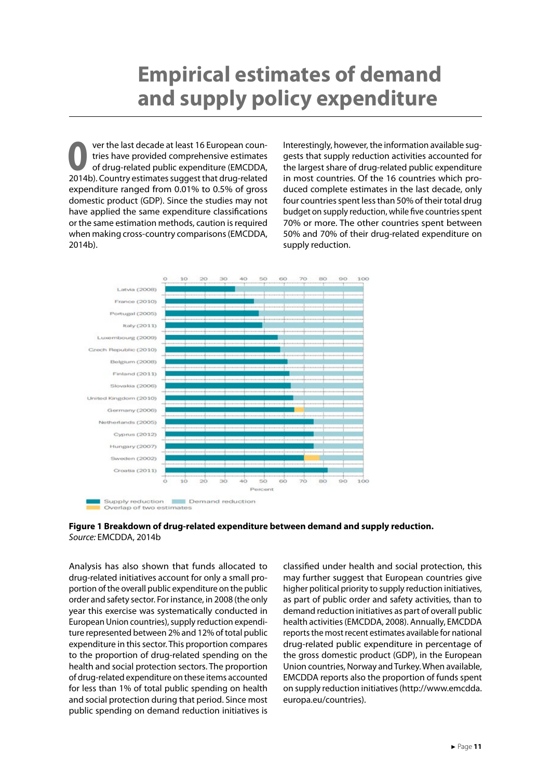# <span id="page-11-0"></span>**Empirical estimates of demand and supply policy expenditure**

**O**ver the last decade at least 16 European coun-<br>tries have provided comprehensive estimates<br>of drug-related public expenditure (EMCDDA, tries have provided comprehensive estimates of drug-related public expenditure (EMCDDA, 2014b). Country estimates suggest that drug-related expenditure ranged from 0.01% to 0.5% of gross domestic product (GDP). Since the studies may not have applied the same expenditure classifications or the same estimation methods, caution is required when making cross-country comparisons (EMCDDA, 2014b).

Interestingly, however, the information available suggests that supply reduction activities accounted for the largest share of drug-related public expenditure in most countries. Of the 16 countries which produced complete estimates in the last decade, only four countries spent less than 50% of their total drug budget on supply reduction, while five countries spent 70% or more. The other countries spent between 50% and 70% of their drug-related expenditure on supply reduction.



**Figure 1 Breakdown of drug-related expenditure between demand and supply reduction.**  *Source:* EMCDDA, 2014b

Analysis has also shown that funds allocated to drug-related initiatives account for only a small proportion of the overall public expenditure on the public order and safety sector. For instance, in 2008 (the only year this exercise was systematically conducted in European Union countries), supply reduction expenditure represented between 2% and 12% of total public expenditure in this sector. This proportion compares to the proportion of drug-related spending on the health and social protection sectors. The proportion of drug-related expenditure on these items accounted for less than 1% of total public spending on health and social protection during that period. Since most public spending on demand reduction initiatives is

classified under health and social protection, this may further suggest that European countries give higher political priority to supply reduction initiatives, as part of public order and safety activities, than to demand reduction initiatives as part of overall public health activities (EMCDDA, 2008). Annually, EMCDDA reports the most recent estimates available for national drug-related public expenditure in percentage of the gross domestic product (GDP), in the European Union countries, Norway and Turkey. When available, EMCDDA reports also the proportion of funds spent on supply reduction initiatives (http://www.emcdda. europa.eu/countries).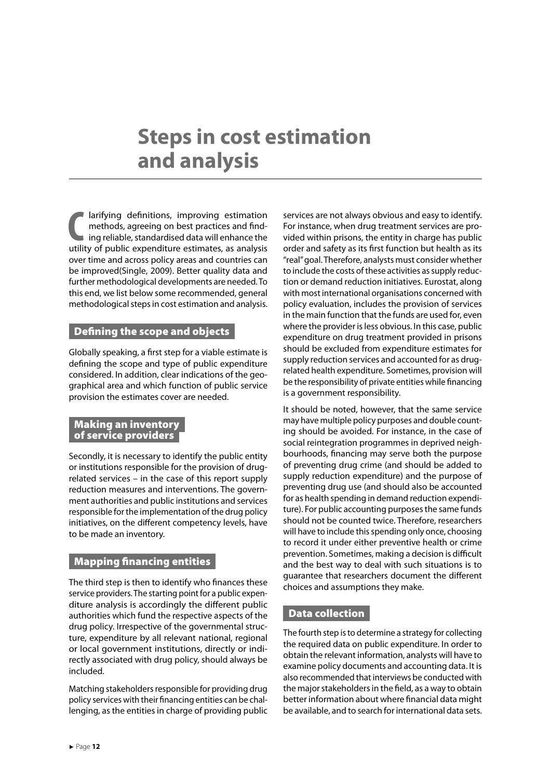### <span id="page-12-0"></span>**Steps in cost estimation and analysis**

**C** larifying definitions, improving estimation methods, agreeing on best practices and finding reliable, standardised data will enhance the utility of public expenditure estimates, as analysis larifying definitions, improving estimation methods, agreeing on best practices and finding reliable, standardised data will enhance the over time and across policy areas and countries can be improved(Single, 2009). Better quality data and further methodological developments are needed. To this end, we list below some recommended, general methodological steps in cost estimation and analysis.

#### **Defining the scope and objects**

Globally speaking, a first step for a viable estimate is defining the scope and type of public expenditure considered. In addition, clear indications of the geographical area and which function of public service provision the estimates cover are needed.

#### Making an inventory of service providers

Secondly, it is necessary to identify the public entity or institutions responsible for the provision of drugrelated services – in the case of this report supply reduction measures and interventions. The government authorities and public institutions and services responsible for the implementation of the drug policy initiatives, on the different competency levels, have to be made an inventory.

#### Mapping financing entities

The third step is then to identify who finances these service providers. The starting point for a public expenditure analysis is accordingly the different public authorities which fund the respective aspects of the drug policy. Irrespective of the governmental structure, expenditure by all relevant national, regional or local government institutions, directly or indirectly associated with drug policy, should always be included.

Matching stakeholders responsible for providing drug policy services with their financing entities can be challenging, as the entities in charge of providing public services are not always obvious and easy to identify. For instance, when drug treatment services are provided within prisons, the entity in charge has public order and safety as its first function but health as its "real" goal. Therefore, analysts must consider whether to include the costs of these activities as supply reduction or demand reduction initiatives. Eurostat, along with most international organisations concerned with policy evaluation, includes the provision of services in the main function that the funds are used for, even where the provider is less obvious. In this case, public expenditure on drug treatment provided in prisons should be excluded from expenditure estimates for supply reduction services and accounted for as drugrelated health expenditure. Sometimes, provision will be the responsibility of private entities while financing is a government responsibility.

It should be noted, however, that the same service may have multiple policy purposes and double counting should be avoided. For instance, in the case of social reintegration programmes in deprived neighbourhoods, financing may serve both the purpose of preventing drug crime (and should be added to supply reduction expenditure) and the purpose of preventing drug use (and should also be accounted for as health spending in demand reduction expenditure). For public accounting purposes the same funds should not be counted twice. Therefore, researchers will have to include this spending only once, choosing to record it under either preventive health or crime prevention. Sometimes, making a decision is difficult and the best way to deal with such situations is to guarantee that researchers document the different choices and assumptions they make.

#### Data collection

The fourth step is to determine a strategy for collecting the required data on public expenditure. In order to obtain the relevant information, analysts will have to examine policy documents and accounting data. It is also recommended that interviews be conducted with the major stakeholders in the field, as a way to obtain better information about where financial data might be available, and to search for international data sets.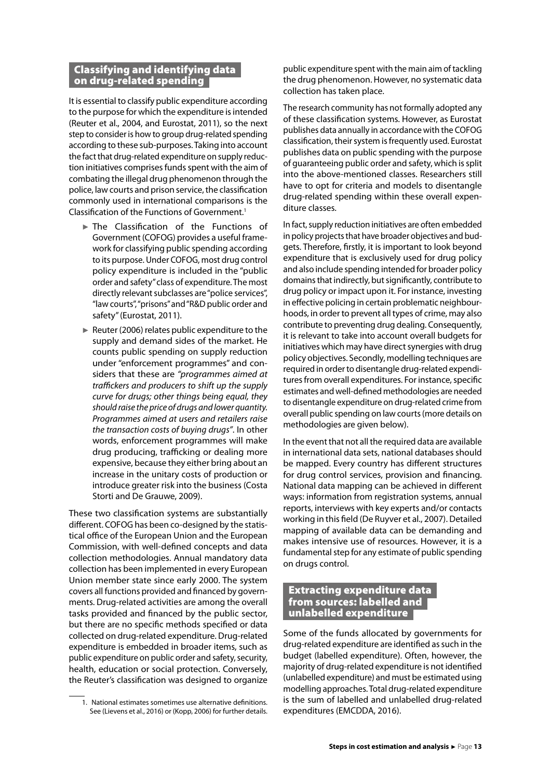#### <span id="page-13-0"></span>Classifying and identifying data on drug-related spending

It is essential to classify public expenditure according to the purpose for which the expenditure is intended (Reuter et al., 2004, and Eurostat, 2011), so the next step to consider is how to group drug-related spending according to these sub-purposes. Taking into account the fact that drug-related expenditure on supply reduction initiatives comprises funds spent with the aim of combating the illegal drug phenomenon through the police, law courts and prison service, the classification commonly used in international comparisons is the Classification of the Functions of Government.1

- ► The Classification of the Functions of Government (COFOG) provides a useful framework for classifying public spending according to its purpose. Under COFOG, most drug control policy expenditure is included in the "public order and safety" class of expenditure. The most directly relevant subclasses are "police services", "law courts", "prisons" and "R&D public order and safety" (Eurostat, 2011).
- ► Reuter (2006) relates public expenditure to the supply and demand sides of the market. He counts public spending on supply reduction under "enforcement programmes" and considers that these are *"programmes aimed at traffickers and producers to shift up the supply curve for drugs; other things being equal, they should raise the price of drugs and lower quantity. Programmes aimed at users and retailers raise the transaction costs of buying drugs"*. In other words, enforcement programmes will make drug producing, trafficking or dealing more expensive, because they either bring about an increase in the unitary costs of production or introduce greater risk into the business (Costa Storti and De Grauwe, 2009).

These two classification systems are substantially different. COFOG has been co-designed by the statistical office of the European Union and the European Commission, with well-defined concepts and data collection methodologies. Annual mandatory data collection has been implemented in every European Union member state since early 2000. The system covers all functions provided and financed by governments. Drug-related activities are among the overall tasks provided and financed by the public sector, but there are no specific methods specified or data collected on drug-related expenditure. Drug-related expenditure is embedded in broader items, such as public expenditure on public order and safety, security, health, education or social protection. Conversely, the Reuter's classification was designed to organize

public expenditure spent with the main aim of tackling the drug phenomenon. However, no systematic data collection has taken place.

The research community has not formally adopted any of these classification systems. However, as Eurostat publishes data annually in accordance with the COFOG classification, their system is frequently used. Eurostat publishes data on public spending with the purpose of guaranteeing public order and safety, which is split into the above-mentioned classes. Researchers still have to opt for criteria and models to disentangle drug-related spending within these overall expenditure classes.

In fact, supply reduction initiatives are often embedded in policy projects that have broader objectives and budgets. Therefore, firstly, it is important to look beyond expenditure that is exclusively used for drug policy and also include spending intended for broader policy domains that indirectly, but significantly, contribute to drug policy or impact upon it. For instance, investing in effective policing in certain problematic neighbourhoods, in order to prevent all types of crime, may also contribute to preventing drug dealing. Consequently, it is relevant to take into account overall budgets for initiatives which may have direct synergies with drug policy objectives. Secondly, modelling techniques are required in order to disentangle drug-related expenditures from overall expenditures. For instance, specific estimates and well-defined methodologies are needed to disentangle expenditure on drug-related crime from overall public spending on law courts (more details on methodologies are given below).

In the event that not all the required data are available in international data sets, national databases should be mapped. Every country has different structures for drug control services, provision and financing. National data mapping can be achieved in different ways: information from registration systems, annual reports, interviews with key experts and/or contacts working in this field (De Ruyver et al., 2007). Detailed mapping of available data can be demanding and makes intensive use of resources. However, it is a fundamental step for any estimate of public spending on drugs control.

#### Extracting expenditure data from sources: labelled and unlabelled expenditure

Some of the funds allocated by governments for drug-related expenditure are identified as such in the budget (labelled expenditure). Often, however, the majority of drug-related expenditure is not identified (unlabelled expenditure) and must be estimated using modelling approaches. Total drug-related expenditure is the sum of labelled and unlabelled drug-related expenditures (EMCDDA, 2016).

<sup>1.</sup> National estimates sometimes use alternative definitions. See (Lievens et al., 2016) or (Kopp, 2006) for further details.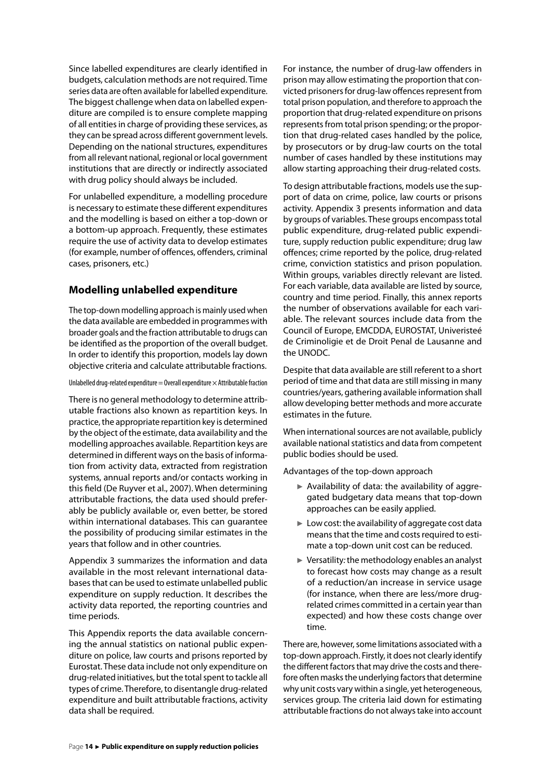Since labelled expenditures are clearly identified in budgets, calculation methods are not required. Time series data are often available for labelled expenditure. The biggest challenge when data on labelled expenditure are compiled is to ensure complete mapping of all entities in charge of providing these services, as they can be spread across different government levels. Depending on the national structures, expenditures from all relevant national, regional or local government institutions that are directly or indirectly associated with drug policy should always be included.

For unlabelled expenditure, a modelling procedure is necessary to estimate these different expenditures and the modelling is based on either a top-down or a bottom-up approach. Frequently, these estimates require the use of activity data to develop estimates (for example, number of offences, offenders, criminal cases, prisoners, etc.)

#### **Modelling unlabelled expenditure**

The top-down modelling approach is mainly used when the data available are embedded in programmes with broader goals and the fraction attributable to drugs can be identified as the proportion of the overall budget. In order to identify this proportion, models lay down objective criteria and calculate attributable fractions.

Unlabelled drug-related expenditure  $=$  Overall expenditure  $\times$  Attributable fraction

There is no general methodology to determine attributable fractions also known as repartition keys. In practice, the appropriate repartition key is determined by the object of the estimate, data availability and the modelling approaches available. Repartition keys are determined in different ways on the basis of information from activity data, extracted from registration systems, annual reports and/or contacts working in this field (De Ruyver et al., 2007). When determining attributable fractions, the data used should preferably be publicly available or, even better, be stored within international databases. This can guarantee the possibility of producing similar estimates in the years that follow and in other countries.

Appendix 3 summarizes the information and data available in the most relevant international databases that can be used to estimate unlabelled public expenditure on supply reduction. It describes the activity data reported, the reporting countries and time periods.

This Appendix reports the data available concerning the annual statistics on national public expenditure on police, law courts and prisons reported by Eurostat. These data include not only expenditure on drug-related initiatives, but the total spent to tackle all types of crime. Therefore, to disentangle drug-related expenditure and built attributable fractions, activity data shall be required.

For instance, the number of drug-law offenders in prison may allow estimating the proportion that convicted prisoners for drug-law offences represent from total prison population, and therefore to approach the proportion that drug-related expenditure on prisons represents from total prison spending; or the proportion that drug-related cases handled by the police, by prosecutors or by drug-law courts on the total number of cases handled by these institutions may allow starting approaching their drug-related costs.

To design attributable fractions, models use the support of data on crime, police, law courts or prisons activity. Appendix 3 presents information and data by groups of variables. These groups encompass total public expenditure, drug-related public expenditure, supply reduction public expenditure; drug law offences; crime reported by the police, drug-related crime, conviction statistics and prison population. Within groups, variables directly relevant are listed. For each variable, data available are listed by source, country and time period. Finally, this annex reports the number of observations available for each variable. The relevant sources include data from the Council of Europe, EMCDDA, EUROSTAT, Univeristeé de Criminoligie et de Droit Penal de Lausanne and the UNODC.

Despite that data available are still referent to a short period of time and that data are still missing in many countries/years, gathering available information shall allow developing better methods and more accurate estimates in the future.

When international sources are not available, publicly available national statistics and data from competent public bodies should be used.

Advantages of the top-down approach

- ► Availability of data: the availability of aggregated budgetary data means that top-down approaches can be easily applied.
- $\blacktriangleright$  Low cost: the availability of aggregate cost data means that the time and costs required to estimate a top-down unit cost can be reduced.
- ► Versatility*:* the methodology enables an analyst to forecast how costs may change as a result of a reduction/an increase in service usage (for instance, when there are less/more drugrelated crimes committed in a certain year than expected) and how these costs change over time.

There are, however, some limitations associated with a top-down approach. Firstly, it does not clearly identify the different factors that may drive the costs and therefore often masks the underlying factors that determine why unit costs vary within a single, yet heterogeneous, services group. The criteria laid down for estimating attributable fractions do not always take into account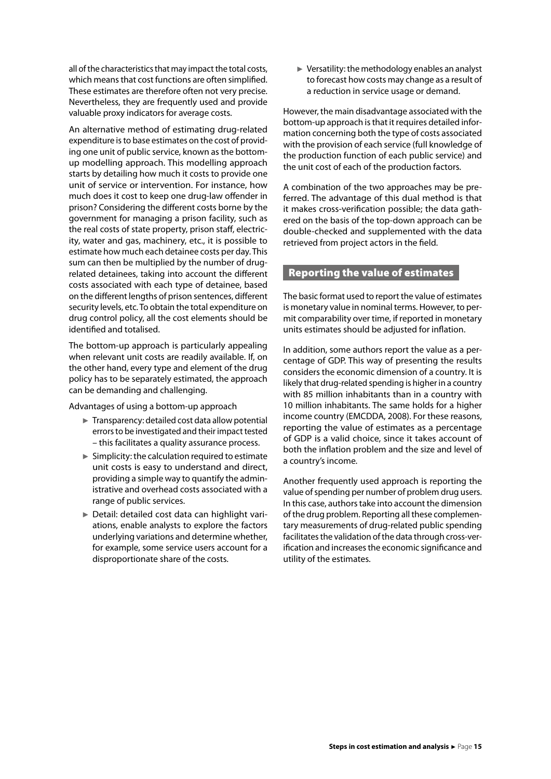<span id="page-15-0"></span>all of the characteristics that may impact the total costs, which means that cost functions are often simplified. These estimates are therefore often not very precise. Nevertheless, they are frequently used and provide valuable proxy indicators for average costs.

An alternative method of estimating drug-related expenditure is to base estimates on the cost of providing one unit of public service, known as the bottomup modelling approach. This modelling approach starts by detailing how much it costs to provide one unit of service or intervention. For instance, how much does it cost to keep one drug-law offender in prison? Considering the different costs borne by the government for managing a prison facility, such as the real costs of state property, prison staff, electricity, water and gas, machinery, etc., it is possible to estimate how much each detainee costs per day. This sum can then be multiplied by the number of drugrelated detainees, taking into account the different costs associated with each type of detainee, based on the different lengths of prison sentences, different security levels, etc. To obtain the total expenditure on drug control policy, all the cost elements should be identified and totalised.

The bottom-up approach is particularly appealing when relevant unit costs are readily available. If, on the other hand, every type and element of the drug policy has to be separately estimated, the approach can be demanding and challenging.

Advantages of using a bottom-up approach

- ► Transparency: detailed cost data allow potential errors to be investigated and their impact tested – this facilitates a quality assurance process.
- $\blacktriangleright$  Simplicity: the calculation required to estimate unit costs is easy to understand and direct, providing a simple way to quantify the administrative and overhead costs associated with a range of public services.
- ► Detail: detailed cost data can highlight variations, enable analysts to explore the factors underlying variations and determine whether, for example, some service users account for a disproportionate share of the costs.

 $\blacktriangleright$  Versatility: the methodology enables an analyst to forecast how costs may change as a result of a reduction in service usage or demand.

However, the main disadvantage associated with the bottom-up approach is that it requires detailed information concerning both the type of costs associated with the provision of each service (full knowledge of the production function of each public service) and the unit cost of each of the production factors.

A combination of the two approaches may be preferred. The advantage of this dual method is that it makes cross-verification possible; the data gathered on the basis of the top-down approach can be double-checked and supplemented with the data retrieved from project actors in the field.

#### Reporting the value of estimates

The basic format used to report the value of estimates is monetary value in nominal terms. However, to permit comparability over time, if reported in monetary units estimates should be adjusted for inflation.

In addition, some authors report the value as a percentage of GDP. This way of presenting the results considers the economic dimension of a country. It is likely that drug-related spending is higher in a country with 85 million inhabitants than in a country with 10 million inhabitants. The same holds for a higher income country (EMCDDA, 2008). For these reasons, reporting the value of estimates as a percentage of GDP is a valid choice, since it takes account of both the inflation problem and the size and level of a country's income.

Another frequently used approach is reporting the value of spending per number of problem drug users. In this case, authors take into account the dimension of the drug problem. Reporting all these complementary measurements of drug-related public spending facilitates the validation of the data through cross-verification and increases the economic significance and utility of the estimates.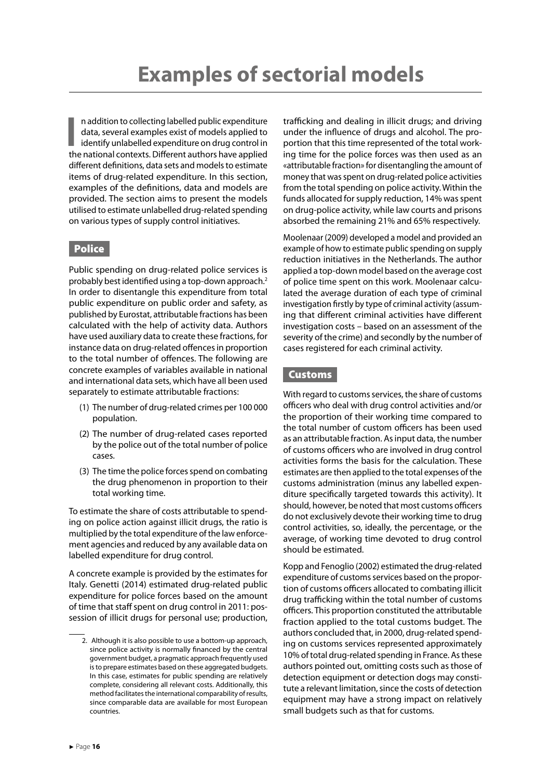<span id="page-16-0"></span>In addition to collecting labelled public expenditure<br>data, several examples exist of models applied to<br>identify unlabelled expenditure on drug control in<br>the national contexts. Different authors have applied n addition to collecting labelled public expenditure data, several examples exist of models applied to identify unlabelled expenditure on drug control in different definitions, data sets and models to estimate items of drug-related expenditure. In this section, examples of the definitions, data and models are provided. The section aims to present the models utilised to estimate unlabelled drug-related spending on various types of supply control initiatives.

#### **Police**

Public spending on drug-related police services is probably best identified using a top-down approach.2 In order to disentangle this expenditure from total public expenditure on public order and safety, as published by Eurostat, attributable fractions has been calculated with the help of activity data. Authors have used auxiliary data to create these fractions, for instance data on drug-related offences in proportion to the total number of offences. The following are concrete examples of variables available in national and international data sets, which have all been used separately to estimate attributable fractions:

- (1) The number of drug-related crimes per 100 000 population.
- (2) The number of drug-related cases reported by the police out of the total number of police cases.
- (3) The time the police forces spend on combating the drug phenomenon in proportion to their total working time.

To estimate the share of costs attributable to spending on police action against illicit drugs, the ratio is multiplied by the total expenditure of the law enforcement agencies and reduced by any available data on labelled expenditure for drug control.

A concrete example is provided by the estimates for Italy. Genetti (2014) estimated drug-related public expenditure for police forces based on the amount of time that staff spent on drug control in 2011: possession of illicit drugs for personal use; production, trafficking and dealing in illicit drugs; and driving under the influence of drugs and alcohol. The proportion that this time represented of the total working time for the police forces was then used as an «attributable fraction» for disentangling the amount of money that was spent on drug-related police activities from the total spending on police activity. Within the funds allocated for supply reduction, 14% was spent on drug-police activity, while law courts and prisons absorbed the remaining 21% and 65% respectively.

Moolenaar (2009) developed a model and provided an example of how to estimate public spending on supply reduction initiatives in the Netherlands. The author applied a top-down model based on the average cost of police time spent on this work. Moolenaar calculated the average duration of each type of criminal investigation firstly by type of criminal activity (assuming that different criminal activities have different investigation costs – based on an assessment of the severity of the crime) and secondly by the number of cases registered for each criminal activity.

#### Customs

With regard to customs services, the share of customs officers who deal with drug control activities and/or the proportion of their working time compared to the total number of custom officers has been used as an attributable fraction. As input data, the number of customs officers who are involved in drug control activities forms the basis for the calculation. These estimates are then applied to the total expenses of the customs administration (minus any labelled expenditure specifically targeted towards this activity). It should, however, be noted that most customs officers do not exclusively devote their working time to drug control activities, so, ideally, the percentage, or the average, of working time devoted to drug control should be estimated.

Kopp and Fenoglio (2002) estimated the drug-related expenditure of customs services based on the proportion of customs officers allocated to combating illicit drug trafficking within the total number of customs officers. This proportion constituted the attributable fraction applied to the total customs budget. The authors concluded that, in 2000, drug-related spending on customs services represented approximately 10% of total drug-related spending in France. As these authors pointed out, omitting costs such as those of detection equipment or detection dogs may constitute a relevant limitation, since the costs of detection equipment may have a strong impact on relatively small budgets such as that for customs.

<sup>2.</sup> Although it is also possible to use a bottom-up approach, since police activity is normally financed by the central government budget, a pragmatic approach frequently used is to prepare estimates based on these aggregated budgets. In this case, estimates for public spending are relatively complete, considering all relevant costs. Additionally, this method facilitates the international comparability of results, since comparable data are available for most European countries.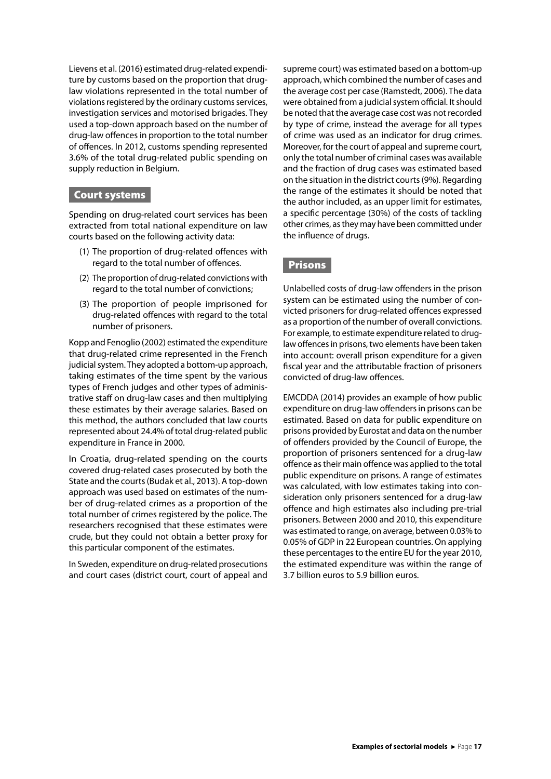<span id="page-17-0"></span>Lievens et al. (2016) estimated drug-related expenditure by customs based on the proportion that druglaw violations represented in the total number of violations registered by the ordinary customs services, investigation services and motorised brigades. They used a top-down approach based on the number of drug-law offences in proportion to the total number of offences. In 2012, customs spending represented 3.6% of the total drug-related public spending on supply reduction in Belgium.

#### Court systems

Spending on drug-related court services has been extracted from total national expenditure on law courts based on the following activity data:

- (1) The proportion of drug-related offences with regard to the total number of offences.
- (2) The proportion of drug-related convictions with regard to the total number of convictions;
- (3) The proportion of people imprisoned for drug-related offences with regard to the total number of prisoners.

Kopp and Fenoglio (2002) estimated the expenditure that drug-related crime represented in the French judicial system. They adopted a bottom-up approach, taking estimates of the time spent by the various types of French judges and other types of administrative staff on drug-law cases and then multiplying these estimates by their average salaries. Based on this method, the authors concluded that law courts represented about 24.4% of total drug-related public expenditure in France in 2000.

In Croatia, drug-related spending on the courts covered drug-related cases prosecuted by both the State and the courts (Budak et al., 2013). A top-down approach was used based on estimates of the number of drug-related crimes as a proportion of the total number of crimes registered by the police. The researchers recognised that these estimates were crude, but they could not obtain a better proxy for this particular component of the estimates.

In Sweden, expenditure on drug-related prosecutions and court cases (district court, court of appeal and supreme court) was estimated based on a bottom-up approach, which combined the number of cases and the average cost per case (Ramstedt, 2006). The data were obtained from a judicial system official. It should be noted that the average case cost was not recorded by type of crime, instead the average for all types of crime was used as an indicator for drug crimes. Moreover, for the court of appeal and supreme court, only the total number of criminal cases was available and the fraction of drug cases was estimated based on the situation in the district courts (9%). Regarding the range of the estimates it should be noted that the author included, as an upper limit for estimates, a specific percentage (30%) of the costs of tackling other crimes, as they may have been committed under the influence of drugs.

#### **Prisons**

Unlabelled costs of drug-law offenders in the prison system can be estimated using the number of convicted prisoners for drug-related offences expressed as a proportion of the number of overall convictions. For example, to estimate expenditure related to druglaw offences in prisons, two elements have been taken into account: overall prison expenditure for a given fiscal year and the attributable fraction of prisoners convicted of drug-law offences.

EMCDDA (2014) provides an example of how public expenditure on drug-law offenders in prisons can be estimated. Based on data for public expenditure on prisons provided by Eurostat and data on the number of offenders provided by the Council of Europe, the proportion of prisoners sentenced for a drug-law offence as their main offence was applied to the total public expenditure on prisons. A range of estimates was calculated, with low estimates taking into consideration only prisoners sentenced for a drug-law offence and high estimates also including pre-trial prisoners. Between 2000 and 2010, this expenditure was estimated to range, on average, between 0.03% to 0.05% of GDP in 22 European countries. On applying these percentages to the entire EU for the year 2010, the estimated expenditure was within the range of 3.7 billion euros to 5.9 billion euros.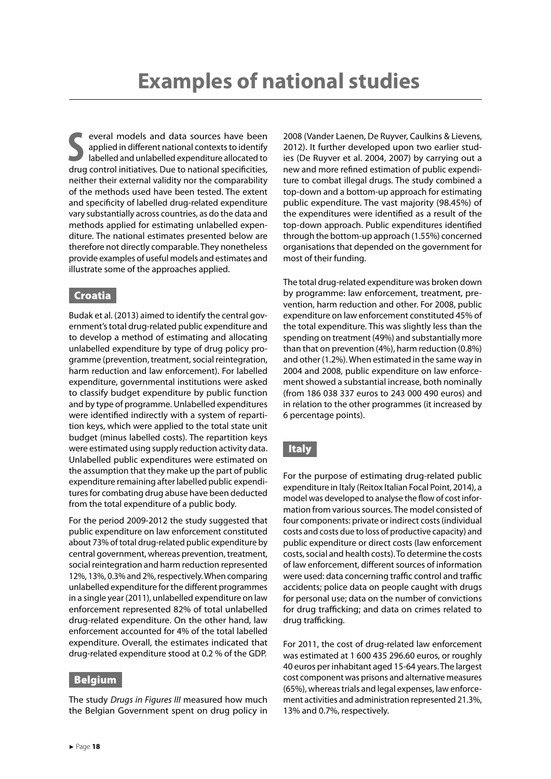<span id="page-18-0"></span>**S**<br>
several models and data sources have been<br>
applied in different national contexts to identify<br>
labelled and unlabelled expenditure allocated to<br>
drug control initiatives. Due to national specificities, everal models and data sources have been applied in different national contexts to identify labelled and unlabelled expenditure allocated to neither their external validity nor the comparability of the methods used have been tested. The extent and specificity of labelled drug-related expenditure vary substantially across countries, as do the data and methods applied for estimating unlabelled expenditure. The national estimates presented below are therefore not directly comparable. They nonetheless provide examples of useful models and estimates and illustrate some of the approaches applied.

#### Croatia

Budak et al. (2013) aimed to identify the central government's total drug-related public expenditure and to develop a method of estimating and allocating unlabelled expenditure by type of drug policy programme (prevention, treatment, social reintegration, harm reduction and law enforcement). For labelled expenditure, governmental institutions were asked to classify budget expenditure by public function and by type of programme. Unlabelled expenditures were identified indirectly with a system of repartition keys, which were applied to the total state unit budget (minus labelled costs). The repartition keys were estimated using supply reduction activity data. Unlabelled public expenditures were estimated on the assumption that they make up the part of public expenditure remaining after labelled public expenditures for combating drug abuse have been deducted from the total expenditure of a public body.

For the period 2009-2012 the study suggested that public expenditure on law enforcement constituted about 73% of total drug-related public expenditure by central government, whereas prevention, treatment, social reintegration and harm reduction represented 12%, 13%, 0.3% and 2%, respectively. When comparing unlabelled expenditure for the different programmes in a single year (2011), unlabelled expenditure on law enforcement represented 82% of total unlabelled drug-related expenditure. On the other hand, law enforcement accounted for 4% of the total labelled expenditure. Overall, the estimates indicated that drug-related expenditure stood at 0.2 % of the GDP.

#### Belgium

The study *Drugs in Figures III* measured how much the Belgian Government spent on drug policy in 2008 (Vander Laenen, De Ruyver, Caulkins & Lievens, 2012). It further developed upon two earlier studies (De Ruyver et al. 2004, 2007) by carrying out a new and more refined estimation of public expenditure to combat illegal drugs. The study combined a top-down and a bottom-up approach for estimating public expenditure. The vast majority (98.45%) of the expenditures were identified as a result of the top-down approach. Public expenditures identified through the bottom-up approach (1.55%) concerned organisations that depended on the government for most of their funding.

The total drug-related expenditure was broken down by programme: law enforcement, treatment, prevention, harm reduction and other. For 2008, public expenditure on law enforcement constituted 45% of the total expenditure. This was slightly less than the spending on treatment (49%) and substantially more than that on prevention (4%), harm reduction (0.8%) and other (1.2%). When estimated in the same way in 2004 and 2008, public expenditure on law enforcement showed a substantial increase, both nominally (from 186 038 337 euros to 243 000 490 euros) and in relation to the other programmes (it increased by 6 percentage points).

#### | Italy

For the purpose of estimating drug-related public expenditure in Italy (Reitox Italian Focal Point, 2014), a model was developed to analyse the flow of cost information from various sources. The model consisted of four components: private or indirect costs (individual costs and costs due to loss of productive capacity) and public expenditure or direct costs (law enforcement costs, social and health costs). To determine the costs of law enforcement, different sources of information were used: data concerning traffic control and traffic accidents; police data on people caught with drugs for personal use; data on the number of convictions for drug trafficking; and data on crimes related to drug trafficking.

For 2011, the cost of drug-related law enforcement was estimated at 1 600 435 296.60 euros, or roughly 40 euros per inhabitant aged 15-64 years. The largest cost component was prisons and alternative measures (65%), whereas trials and legal expenses, law enforcement activities and administration represented 21.3%, 13% and 0.7%, respectively.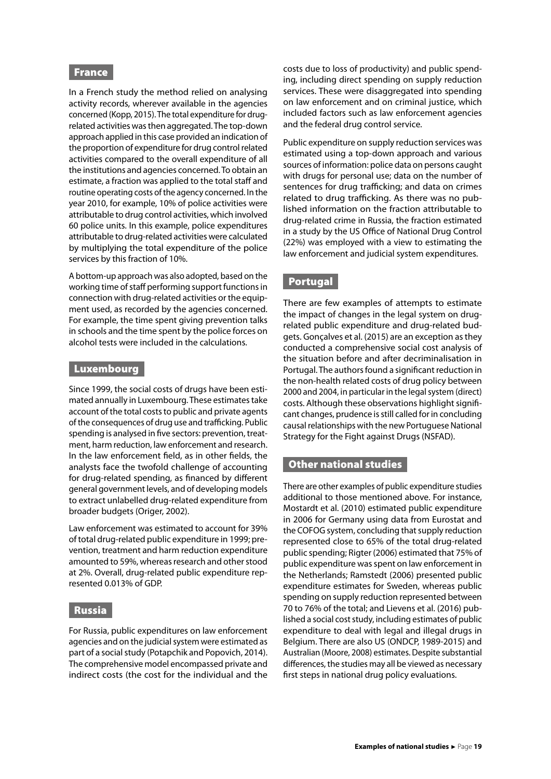#### <span id="page-19-0"></span>France

In a French study the method relied on analysing activity records, wherever available in the agencies concerned (Kopp, 2015). The total expenditure for drugrelated activities was then aggregated. The top-down approach applied in this case provided an indication of the proportion of expenditure for drug control related activities compared to the overall expenditure of all the institutions and agencies concerned. To obtain an estimate, a fraction was applied to the total staff and routine operating costs of the agency concerned. In the year 2010, for example, 10% of police activities were attributable to drug control activities, which involved 60 police units. In this example, police expenditures attributable to drug-related activities were calculated by multiplying the total expenditure of the police services by this fraction of 10%.

A bottom-up approach was also adopted, based on the working time of staff performing support functions in connection with drug-related activities or the equipment used, as recorded by the agencies concerned. For example, the time spent giving prevention talks in schools and the time spent by the police forces on alcohol tests were included in the calculations.

#### Luxembourg

Since 1999, the social costs of drugs have been estimated annually in Luxembourg. These estimates take account of the total costs to public and private agents of the consequences of drug use and trafficking. Public spending is analysed in five sectors: prevention, treatment, harm reduction, law enforcement and research. In the law enforcement field, as in other fields, the analysts face the twofold challenge of accounting for drug-related spending, as financed by different general government levels, and of developing models to extract unlabelled drug-related expenditure from broader budgets (Origer, 2002).

Law enforcement was estimated to account for 39% of total drug-related public expenditure in 1999; prevention, treatment and harm reduction expenditure amounted to 59%, whereas research and other stood at 2%. Overall, drug-related public expenditure represented 0.013% of GDP.

#### Russia

For Russia, public expenditures on law enforcement agencies and on the judicial system were estimated as part of a social study (Potapchik and Popovich, 2014). The comprehensive model encompassed private and indirect costs (the cost for the individual and the costs due to loss of productivity) and public spending, including direct spending on supply reduction services. These were disaggregated into spending on law enforcement and on criminal justice, which included factors such as law enforcement agencies and the federal drug control service.

Public expenditure on supply reduction services was estimated using a top-down approach and various sources of information: police data on persons caught with drugs for personal use; data on the number of sentences for drug trafficking; and data on crimes related to drug trafficking. As there was no published information on the fraction attributable to drug-related crime in Russia, the fraction estimated in a study by the US Office of National Drug Control (22%) was employed with a view to estimating the law enforcement and judicial system expenditures.

#### Portugal

There are few examples of attempts to estimate the impact of changes in the legal system on drugrelated public expenditure and drug-related budgets. Gonçalves et al. (2015) are an exception as they conducted a comprehensive social cost analysis of the situation before and after decriminalisation in Portugal. The authors found a significant reduction in the non-health related costs of drug policy between 2000 and 2004, in particular in the legal system (direct) costs. Although these observations highlight significant changes, prudence is still called for in concluding causal relationships with the new Portuguese National Strategy for the Fight against Drugs (NSFAD).

#### Other national studies

There are other examples of public expenditure studies additional to those mentioned above. For instance, Mostardt et al. (2010) estimated public expenditure in 2006 for Germany using data from Eurostat and the COFOG system, concluding that supply reduction represented close to 65% of the total drug-related public spending; Rigter (2006) estimated that 75% of public expenditure was spent on law enforcement in the Netherlands; Ramstedt (2006) presented public expenditure estimates for Sweden, whereas public spending on supply reduction represented between 70 to 76% of the total; and Lievens et al. (2016) published a social cost study, including estimates of public expenditure to deal with legal and illegal drugs in Belgium. There are also US (ONDCP, 1989-2015) and Australian (Moore, 2008) estimates. Despite substantial differences, the studies may all be viewed as necessary first steps in national drug policy evaluations.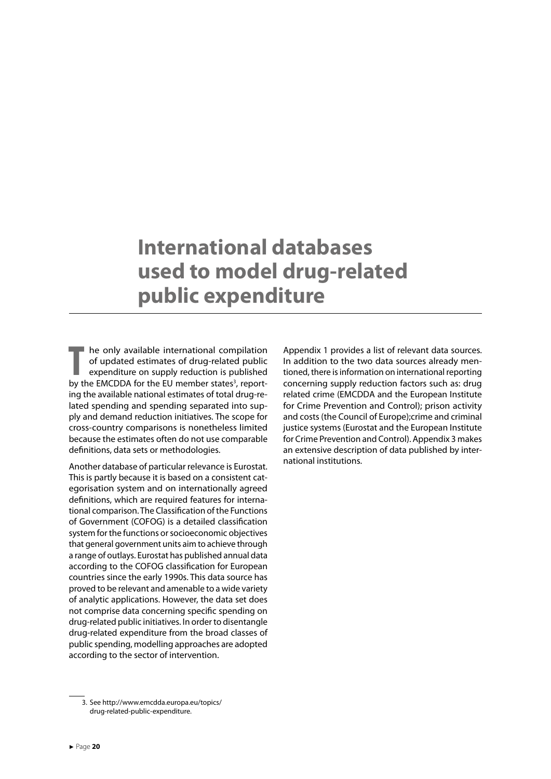### <span id="page-20-0"></span>**International databases used to model drug-related public expenditure**

**THE CONSERVISTED FOR THE CONSERVANCE THE CONSERVANCE CONSERVANCE CONSERVANCE CONSERVANCE CONSERVANCE CONSERVANCE CONSERVANCE CONSERVANCE CONSERVANCE UP the EU member states<sup>3</sup>, report**he only available international compilation of updated estimates of drug-related public expenditure on supply reduction is published ing the available national estimates of total drug-related spending and spending separated into supply and demand reduction initiatives. The scope for cross-country comparisons is nonetheless limited because the estimates often do not use comparable definitions, data sets or methodologies.

Another database of particular relevance is Eurostat. This is partly because it is based on a consistent categorisation system and on internationally agreed definitions, which are required features for international comparison. The Classification of the Functions of Government (COFOG) is a detailed classification system for the functions or socioeconomic objectives that general government units aim to achieve through a range of outlays. Eurostat has published annual data according to the COFOG classification for European countries since the early 1990s. This data source has proved to be relevant and amenable to a wide variety of analytic applications. However, the data set does not comprise data concerning specific spending on drug-related public initiatives. In order to disentangle drug-related expenditure from the broad classes of public spending, modelling approaches are adopted according to the sector of intervention.

Appendix 1 provides a list of relevant data sources. In addition to the two data sources already mentioned, there is information on international reporting concerning supply reduction factors such as: drug related crime (EMCDDA and the European Institute for Crime Prevention and Control); prison activity and costs (the Council of Europe);crime and criminal justice systems (Eurostat and the European Institute for Crime Prevention and Control). Appendix 3 makes an extensive description of data published by international institutions.

<sup>3.</sup> See http://www.emcdda.europa.eu/topics/ drug-related-public-expenditure.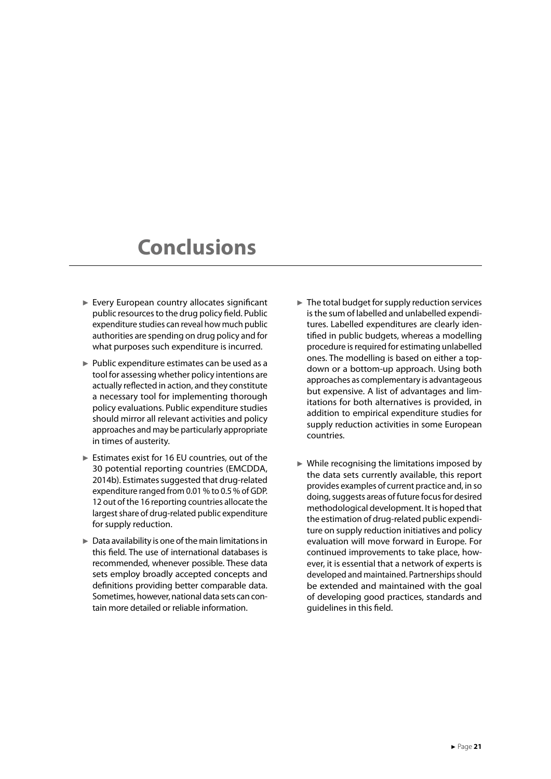### <span id="page-21-0"></span>**Conclusions**

- ► Every European country allocates significant public resources to the drug policy field. Public expenditure studies can reveal how much public authorities are spending on drug policy and for what purposes such expenditure is incurred.
- ► Public expenditure estimates can be used as a tool for assessing whether policy intentions are actually reflected in action, and they constitute a necessary tool for implementing thorough policy evaluations. Public expenditure studies should mirror all relevant activities and policy approaches and may be particularly appropriate in times of austerity.
- ► Estimates exist for 16 EU countries, out of the 30 potential reporting countries (EMCDDA, 2014b). Estimates suggested that drug-related expenditure ranged from 0.01 % to 0.5 % of GDP. 12 out of the 16 reporting countries allocate the largest share of drug-related public expenditure for supply reduction.
- ► Data availability is one of the main limitations in this field. The use of international databases is recommended, whenever possible. These data sets employ broadly accepted concepts and definitions providing better comparable data. Sometimes, however, national data sets can contain more detailed or reliable information.
- $\blacktriangleright$  The total budget for supply reduction services is the sum of labelled and unlabelled expenditures. Labelled expenditures are clearly identified in public budgets, whereas a modelling procedure is required for estimating unlabelled ones. The modelling is based on either a topdown or a bottom-up approach. Using both approaches as complementary is advantageous but expensive. A list of advantages and limitations for both alternatives is provided, in addition to empirical expenditure studies for supply reduction activities in some European countries.
- $\triangleright$  While recognising the limitations imposed by the data sets currently available, this report provides examples of current practice and, in so doing, suggests areas of future focus for desired methodological development. It is hoped that the estimation of drug-related public expenditure on supply reduction initiatives and policy evaluation will move forward in Europe. For continued improvements to take place, however, it is essential that a network of experts is developed and maintained. Partnerships should be extended and maintained with the goal of developing good practices, standards and guidelines in this field.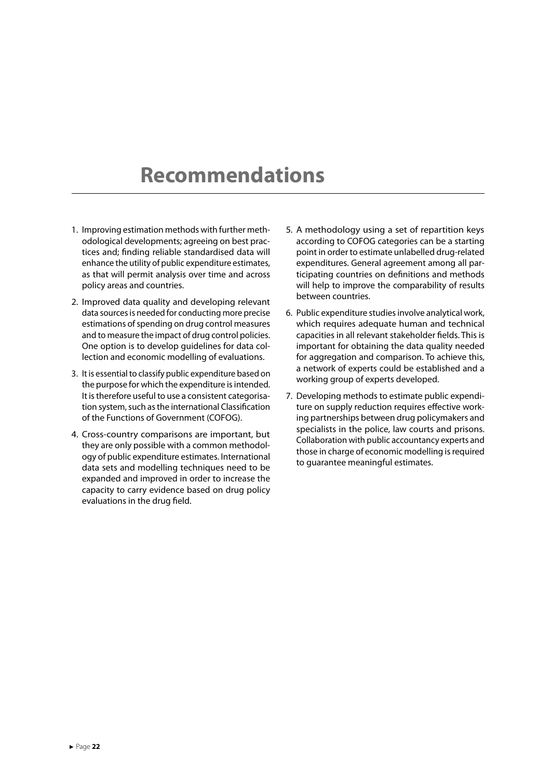### <span id="page-22-0"></span>**Recommendations**

- 1. Improving estimation methods with further methodological developments; agreeing on best practices and; finding reliable standardised data will enhance the utility of public expenditure estimates, as that will permit analysis over time and across policy areas and countries.
- 2. Improved data quality and developing relevant data sources is needed for conducting more precise estimations of spending on drug control measures and to measure the impact of drug control policies. One option is to develop guidelines for data collection and economic modelling of evaluations.
- 3. It is essential to classify public expenditure based on the purpose for which the expenditure is intended. It is therefore useful to use a consistent categorisation system, such as the international Classification of the Functions of Government (COFOG).
- 4. Cross-country comparisons are important, but they are only possible with a common methodology of public expenditure estimates. International data sets and modelling techniques need to be expanded and improved in order to increase the capacity to carry evidence based on drug policy evaluations in the drug field.
- 5. A methodology using a set of repartition keys according to COFOG categories can be a starting point in order to estimate unlabelled drug-related expenditures. General agreement among all participating countries on definitions and methods will help to improve the comparability of results between countries.
- 6. Public expenditure studies involve analytical work, which requires adequate human and technical capacities in all relevant stakeholder fields. This is important for obtaining the data quality needed for aggregation and comparison. To achieve this, a network of experts could be established and a working group of experts developed.
- 7. Developing methods to estimate public expenditure on supply reduction requires effective working partnerships between drug policymakers and specialists in the police, law courts and prisons. Collaboration with public accountancy experts and those in charge of economic modelling is required to guarantee meaningful estimates.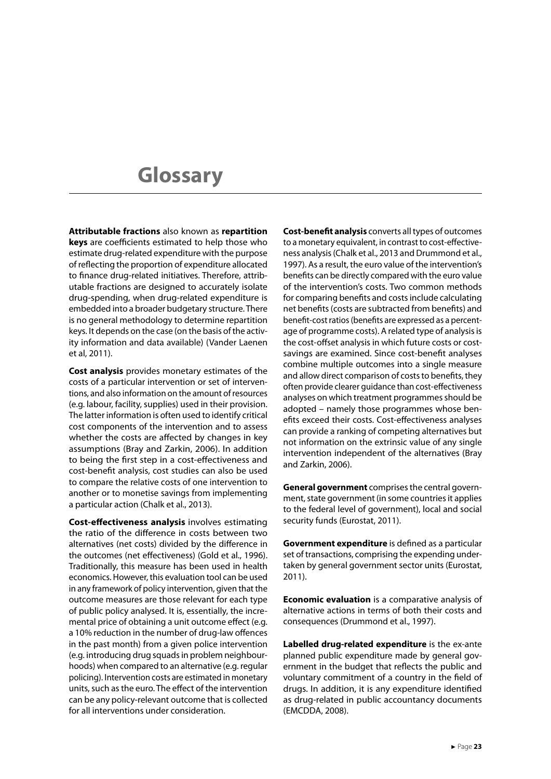# <span id="page-23-0"></span>**Glossary**

**Attributable fractions** also known as **repartition keys** are coefficients estimated to help those who estimate drug-related expenditure with the purpose of reflecting the proportion of expenditure allocated to finance drug-related initiatives. Therefore, attributable fractions are designed to accurately isolate drug-spending, when drug-related expenditure is embedded into a broader budgetary structure. There is no general methodology to determine repartition keys. It depends on the case (on the basis of the activity information and data available) (Vander Laenen et al, 2011).

**Cost analysis** provides monetary estimates of the costs of a particular intervention or set of interventions, and also information on the amount of resources (e.g. labour, facility, supplies) used in their provision. The latter information is often used to identify critical cost components of the intervention and to assess whether the costs are affected by changes in key assumptions (Bray and Zarkin, 2006). In addition to being the first step in a cost-effectiveness and cost-benefit analysis, cost studies can also be used to compare the relative costs of one intervention to another or to monetise savings from implementing a particular action (Chalk et al., 2013).

**Cost-effectiveness analysis** involves estimating the ratio of the difference in costs between two alternatives (net costs) divided by the difference in the outcomes (net effectiveness) (Gold et al., 1996). Traditionally, this measure has been used in health economics. However, this evaluation tool can be used in any framework of policy intervention, given that the outcome measures are those relevant for each type of public policy analysed. It is, essentially, the incremental price of obtaining a unit outcome effect (e.g. a 10% reduction in the number of drug-law offences in the past month) from a given police intervention (e.g. introducing drug squads in problem neighbourhoods) when compared to an alternative (e.g. regular policing). Intervention costs are estimated in monetary units, such as the euro. The effect of the intervention can be any policy-relevant outcome that is collected for all interventions under consideration.

**Cost-benefit analysis** converts all types of outcomes to a monetary equivalent, in contrast to cost-effectiveness analysis (Chalk et al., 2013 and Drummond et al., 1997). As a result, the euro value of the intervention's benefits can be directly compared with the euro value of the intervention's costs. Two common methods for comparing benefits and costs include calculating net benefits (costs are subtracted from benefits) and benefit-cost ratios (benefits are expressed as a percentage of programme costs). A related type of analysis is the cost-offset analysis in which future costs or costsavings are examined. Since cost-benefit analyses combine multiple outcomes into a single measure and allow direct comparison of costs to benefits, they often provide clearer guidance than cost-effectiveness analyses on which treatment programmes should be adopted – namely those programmes whose benefits exceed their costs. Cost-effectiveness analyses can provide a ranking of competing alternatives but not information on the extrinsic value of any single intervention independent of the alternatives (Bray and Zarkin, 2006).

**General government** comprises the central government, state government (in some countries it applies to the federal level of government), local and social security funds (Eurostat, 2011).

**Government expenditure** is defined as a particular set of transactions, comprising the expending undertaken by general government sector units (Eurostat, 2011).

**Economic evaluation** is a comparative analysis of alternative actions in terms of both their costs and consequences (Drummond et al., 1997).

**Labelled drug-related expenditure** is the ex-ante planned public expenditure made by general government in the budget that reflects the public and voluntary commitment of a country in the field of drugs. In addition, it is any expenditure identified as drug-related in public accountancy documents (EMCDDA, 2008).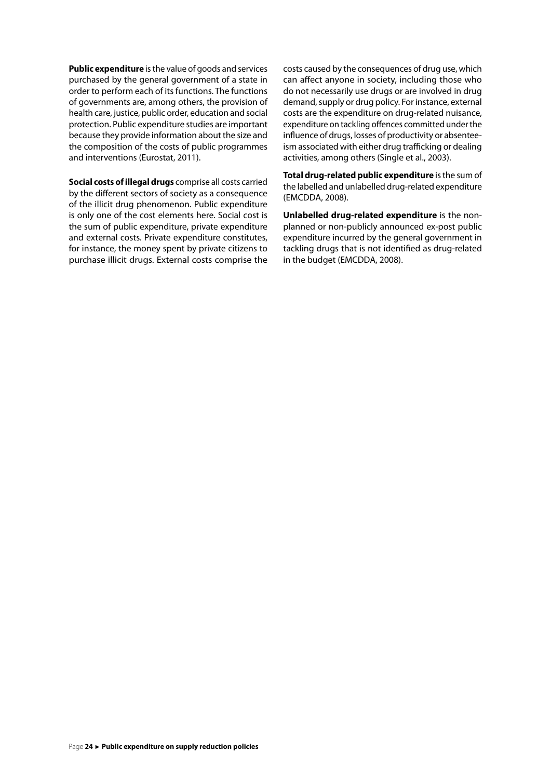**Public expenditure** is the value of goods and services purchased by the general government of a state in order to perform each of its functions. The functions of governments are, among others, the provision of health care, justice, public order, education and social protection. Public expenditure studies are important because they provide information about the size and the composition of the costs of public programmes and interventions (Eurostat, 2011).

**Social costs of illegal drugs** comprise all costs carried by the different sectors of society as a consequence of the illicit drug phenomenon. Public expenditure is only one of the cost elements here. Social cost is the sum of public expenditure, private expenditure and external costs. Private expenditure constitutes, for instance, the money spent by private citizens to purchase illicit drugs. External costs comprise the costs caused by the consequences of drug use, which can affect anyone in society, including those who do not necessarily use drugs or are involved in drug demand, supply or drug policy. For instance, external costs are the expenditure on drug-related nuisance, expenditure on tackling offences committed under the influence of drugs, losses of productivity or absenteeism associated with either drug trafficking or dealing activities, among others (Single et al., 2003).

**Total drug-related public expenditure** is the sum of the labelled and unlabelled drug-related expenditure (EMCDDA, 2008).

**Unlabelled drug-related expenditure** is the nonplanned or non-publicly announced ex-post public expenditure incurred by the general government in tackling drugs that is not identified as drug-related in the budget (EMCDDA, 2008).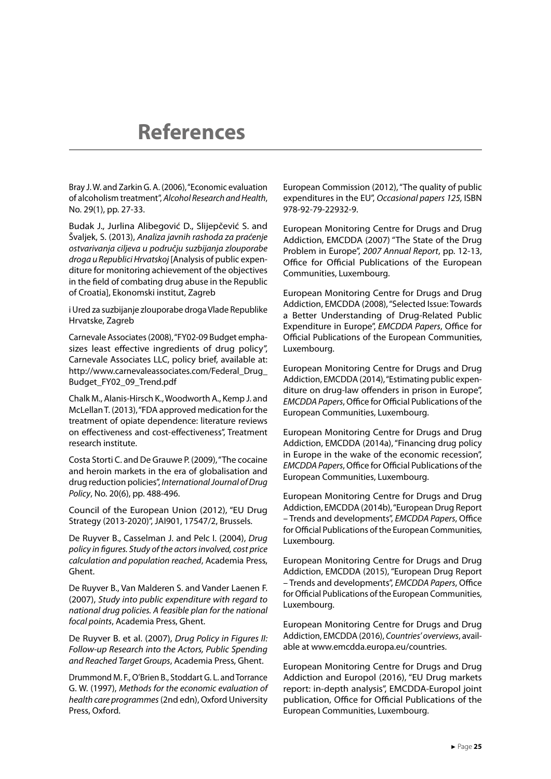### <span id="page-25-0"></span>**References**

Bray J. W. and Zarkin G. A. (2006), "Economic evaluation of alcoholism treatment", *Alcohol Research and Health*, No. 29(1), pp. 27-33.

Budak J., Jurlina Alibegović D., Slijepčević S. and Švaljek, S. (2013), *Analiza javnih rashoda za praćenje ostvarivanja ciljeva u području suzbijanja zlouporabe droga u Republici Hrvatskoj* [Analysis of public expenditure for monitoring achievement of the objectives in the field of combating drug abuse in the Republic of Croatia], Ekonomski institut, Zagreb

i Ured za suzbijanje zlouporabe droga Vlade Republike Hrvatske, Zagreb

Carnevale Associates (2008), "FY02-09 Budget emphasizes least effective ingredients of drug policy", Carnevale Associates LLC, policy brief, available at: http://www.carnevaleassociates.com/Federal\_Drug\_ Budget\_FY02\_09\_Trend.pdf

Chalk M., Alanis-Hirsch K., Woodworth A., Kemp J. and McLellan T. (2013), "FDA approved medication for the treatment of opiate dependence: literature reviews on effectiveness and cost-effectiveness", Treatment research institute.

Costa Storti C. and De Grauwe P. (2009), "The cocaine and heroin markets in the era of globalisation and drug reduction policies", *International Journal of Drug Policy*, No. 20(6), pp. 488-496.

Council of the European Union (2012), "EU Drug Strategy (2013-2020)", JAI901, 17547/2, Brussels.

De Ruyver B., Casselman J. and Pelc I. (2004), *Drug policy in figures. Study of the actors involved, cost price calculation and population reached*, Academia Press, Ghent.

De Ruyver B., Van Malderen S. and Vander Laenen F. (2007), *Study into public expenditure with regard to national drug policies. A feasible plan for the national focal points*, Academia Press, Ghent.

De Ruyver B. et al. (2007), *Drug Policy in Figures II: Follow-up Research into the Actors, Public Spending and Reached Target Groups*, Academia Press, Ghent.

Drummond M. F., O'Brien B., Stoddart G. L. and Torrance G. W. (1997), *Methods for the economic evaluation of health care programmes* (2nd edn), Oxford University Press, Oxford.

European Commission (2012), "The quality of public expenditures in the EU", *Occasional papers 125,* ISBN 978-92-79-22932-9.

European Monitoring Centre for Drugs and Drug Addiction, EMCDDA (2007) "The State of the Drug Problem in Europe", *2007 Annual Report*, pp. 12-13, Office for Official Publications of the European Communities, Luxembourg.

European Monitoring Centre for Drugs and Drug Addiction, EMCDDA (2008), "Selected Issue: Towards a Better Understanding of Drug-Related Public Expenditure in Europe", *EMCDDA Papers*, Office for Official Publications of the European Communities, Luxembourg.

European Monitoring Centre for Drugs and Drug Addiction, EMCDDA (2014), "Estimating public expenditure on drug-law offenders in prison in Europe", *EMCDDA Papers*, Office for Official Publications of the European Communities, Luxembourg.

European Monitoring Centre for Drugs and Drug Addiction, EMCDDA (2014a), "Financing drug policy in Europe in the wake of the economic recession", *EMCDDA Papers*, Office for Official Publications of the European Communities, Luxembourg.

European Monitoring Centre for Drugs and Drug Addiction, EMCDDA (2014b), "European Drug Report – Trends and developments", *EMCDDA Papers*, Office for Official Publications of the European Communities, Luxembourg.

European Monitoring Centre for Drugs and Drug Addiction, EMCDDA (2015), "European Drug Report – Trends and developments", *EMCDDA Papers*, Office for Official Publications of the European Communities, Luxembourg.

European Monitoring Centre for Drugs and Drug Addiction, EMCDDA (2016), *Countries' overviews*, available at www.emcdda.europa.eu/countries.

European Monitoring Centre for Drugs and Drug Addiction and Europol (2016), "EU Drug markets report: in-depth analysis", EMCDDA-Europol joint publication, Office for Official Publications of the European Communities, Luxembourg.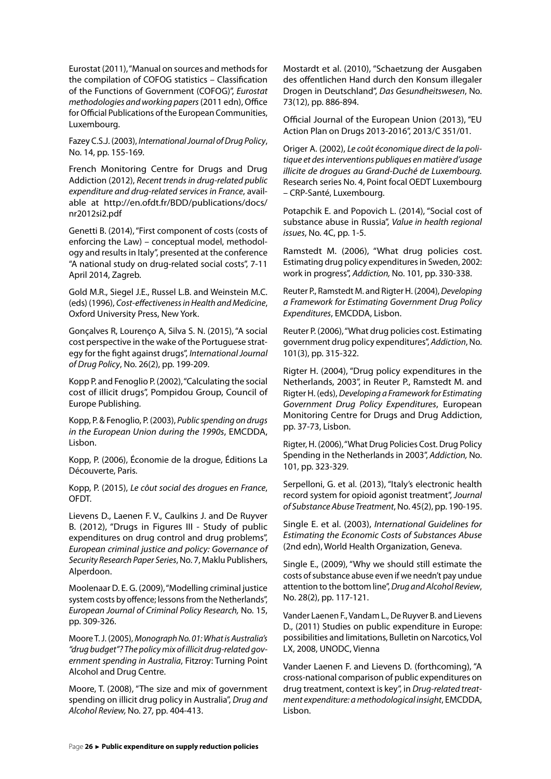Eurostat (2011), "Manual on sources and methods for the compilation of COFOG statistics – Classification of the Functions of Government (COFOG)", *Eurostat methodologies and working papers* (2011 edn), Office for Official Publications of the European Communities, Luxembourg.

Fazey C.S.J. (2003), *International Journal of Drug Policy*, No. 14, pp. 155-169.

French Monitoring Centre for Drugs and Drug Addiction (2012), *Recent trends in drug-related public expenditure and drug-related services in France*, available at http://en.ofdt.fr/BDD/publications/docs/ nr2012si2.pdf

Genetti B. (2014), "First component of costs (costs of enforcing the Law) – conceptual model, methodology and results in Italy", presented at the conference "A national study on drug-related social costs", 7-11 April 2014, Zagreb.

Gold M.R., Siegel J.E., Russel L.B. and Weinstein M.C. (eds) (1996), *Cost-effectiveness in Health and Medicine*, Oxford University Press, New York.

Gonçalves R, Lourenço A, Silva S. N. (2015), "A social cost perspective in the wake of the Portuguese strategy for the fight against drugs", *International Journal of Drug Policy*, No. 26(2), pp. 199-209.

Kopp P. and Fenoglio P. (2002), "Calculating the social cost of illicit drugs", Pompidou Group, Council of Europe Publishing.

Kopp, P. & Fenoglio, P. (2003), *Public spending on drugs in the European Union during the 1990s*, EMCDDA, Lisbon.

Kopp, P. (2006), Économie de la drogue, Éditions La Découverte, Paris.

Kopp, P. (2015), *Le côut social des drogues en France*, OFDT.

Lievens D., Laenen F. V., Caulkins J. and De Ruyver B. (2012), "Drugs in Figures III - Study of public expenditures on drug control and drug problems", *European criminal justice and policy: Governance of Security Research Paper Series*, No. 7, Maklu Publishers, Alperdoon.

Moolenaar D. E. G. (2009), "Modelling criminal justice system costs by offence; lessons from the Netherlands", *European Journal of Criminal Policy Research,* No. 15, pp. 309-326.

Moore T. J. (2005), *Monograph No. 01: What is Australia's "drug budget"? The policy mix of illicit drug-related government spending in Australia*, Fitzroy: Turning Point Alcohol and Drug Centre.

Moore, T. (2008), "The size and mix of government spending on illicit drug policy in Australia", *Drug and Alcohol Review,* No. 27*,* pp. 404-413.

Mostardt et al. (2010), "Schaetzung der Ausgaben des offentlichen Hand durch den Konsum illegaler Drogen in Deutschland", *Das Gesundheitswesen*, No. 73(12), pp. 886-894.

Official Journal of the European Union (2013), "EU Action Plan on Drugs 2013-2016", 2013/C 351/01.

Origer A. (2002), *Le coût économique direct de la politique et des interventions publiques en matière d'usage illicite de drogues au Grand-Duché de Luxembourg.*  Research series No. 4, Point focal OEDT Luxembourg – CRP-Santé, Luxembourg.

Potapchik E. and Popovich L. (2014), "Social cost of substance abuse in Russia", *Value in health regional issues*, No. 4C, pp. 1-5.

Ramstedt M. (2006), "What drug policies cost. Estimating drug policy expenditures in Sweden, 2002: work in progress", *Addiction,* No. 101*,* pp. 330-338.

Reuter P., Ramstedt M. and Rigter H. (2004), *Developing a Framework for Estimating Government Drug Policy Expenditures*, EMCDDA, Lisbon.

Reuter P. (2006), "What drug policies cost. Estimating government drug policy expenditures", *Addiction*, No. 101(3), pp. 315-322.

Rigter H. (2004), "Drug policy expenditures in the Netherlands, 2003", in Reuter P., Ramstedt M. and Rigter H. (eds), *Developing a Framework for Estimating Government Drug Policy Expenditures*, European Monitoring Centre for Drugs and Drug Addiction, pp. 37-73, Lisbon.

Rigter, H. (2006), "What Drug Policies Cost. Drug Policy Spending in the Netherlands in 2003", *Addiction,* No. 101*,* pp. 323-329.

Serpelloni, G. et al. (2013), "Italy's electronic health record system for opioid agonist treatment", *Journal of Substance Abuse Treatment*, No. 45(2), pp. 190-195.

Single E. et al. (2003), *International Guidelines for Estimating the Economic Costs of Substances Abuse* (2nd edn), World Health Organization, Geneva.

Single E., (2009), "Why we should still estimate the costs of substance abuse even if we needn't pay undue attention to the bottom line", *Drug and Alcohol Review*, No. 28(2), pp. 117-121.

Vander Laenen F., Vandam L., De Ruyver B. and Lievens D., (2011) Studies on public expenditure in Europe: possibilities and limitations, Bulletin on Narcotics, Vol LX, 2008, UNODC, Vienna

Vander Laenen F. and Lievens D. (forthcoming), "A cross-national comparison of public expenditures on drug treatment, context is key", in *Drug-related treatment expenditure: a methodological insight*, EMCDDA, Lisbon.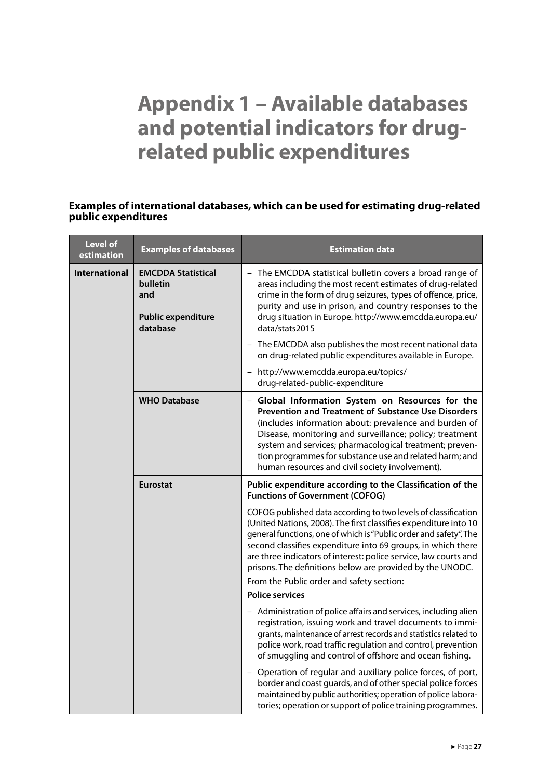# <span id="page-27-0"></span>**Appendix 1 – Available databases and potential indicators for drugrelated public expenditures**

#### **Examples of international databases, which can be used for estimating drug-related public expenditures**

| <b>Level of</b><br>estimation | <b>Examples of databases</b>                                                          | <b>Estimation data</b>                                                                                                                                                                                                                                                                                                                                                                                      |
|-------------------------------|---------------------------------------------------------------------------------------|-------------------------------------------------------------------------------------------------------------------------------------------------------------------------------------------------------------------------------------------------------------------------------------------------------------------------------------------------------------------------------------------------------------|
| <b>International</b>          | <b>EMCDDA Statistical</b><br>bulletin<br>and<br><b>Public expenditure</b><br>database | - The EMCDDA statistical bulletin covers a broad range of<br>areas including the most recent estimates of drug-related<br>crime in the form of drug seizures, types of offence, price,<br>purity and use in prison, and country responses to the<br>drug situation in Europe. http://www.emcdda.europa.eu/<br>data/stats2015                                                                                |
|                               |                                                                                       | - The EMCDDA also publishes the most recent national data<br>on drug-related public expenditures available in Europe.                                                                                                                                                                                                                                                                                       |
|                               |                                                                                       | - http://www.emcdda.europa.eu/topics/<br>drug-related-public-expenditure                                                                                                                                                                                                                                                                                                                                    |
|                               | <b>WHO Database</b>                                                                   | - Global Information System on Resources for the<br><b>Prevention and Treatment of Substance Use Disorders</b><br>(includes information about: prevalence and burden of<br>Disease, monitoring and surveillance; policy; treatment<br>system and services; pharmacological treatment; preven-<br>tion programmes for substance use and related harm; and<br>human resources and civil society involvement). |
|                               | <b>Eurostat</b>                                                                       | Public expenditure according to the Classification of the<br><b>Functions of Government (COFOG)</b>                                                                                                                                                                                                                                                                                                         |
|                               |                                                                                       | COFOG published data according to two levels of classification<br>(United Nations, 2008). The first classifies expenditure into 10<br>general functions, one of which is "Public order and safety". The<br>second classifies expenditure into 69 groups, in which there<br>are three indicators of interest: police service, law courts and<br>prisons. The definitions below are provided by the UNODC.    |
|                               |                                                                                       | From the Public order and safety section:<br><b>Police services</b>                                                                                                                                                                                                                                                                                                                                         |
|                               |                                                                                       | - Administration of police affairs and services, including alien<br>registration, issuing work and travel documents to immi-<br>grants, maintenance of arrest records and statistics related to<br>police work, road traffic regulation and control, prevention<br>of smuggling and control of offshore and ocean fishing.                                                                                  |
|                               |                                                                                       | Operation of regular and auxiliary police forces, of port,<br>border and coast guards, and of other special police forces<br>maintained by public authorities; operation of police labora-<br>tories; operation or support of police training programmes.                                                                                                                                                   |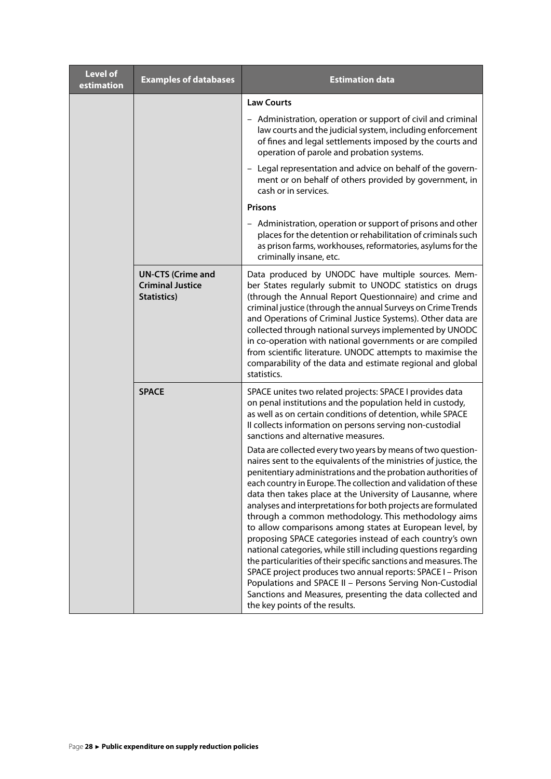| <b>Level of</b><br>estimation | <b>Examples of databases</b>                                       | <b>Estimation data</b>                                                                                                                                                                                                                                                                                                                                                                                                                                                                                                                                                                                                                                                                                                                                                                                                                                                                                                                                                                                                                                                                                                                                                                                                                      |
|-------------------------------|--------------------------------------------------------------------|---------------------------------------------------------------------------------------------------------------------------------------------------------------------------------------------------------------------------------------------------------------------------------------------------------------------------------------------------------------------------------------------------------------------------------------------------------------------------------------------------------------------------------------------------------------------------------------------------------------------------------------------------------------------------------------------------------------------------------------------------------------------------------------------------------------------------------------------------------------------------------------------------------------------------------------------------------------------------------------------------------------------------------------------------------------------------------------------------------------------------------------------------------------------------------------------------------------------------------------------|
|                               |                                                                    | <b>Law Courts</b>                                                                                                                                                                                                                                                                                                                                                                                                                                                                                                                                                                                                                                                                                                                                                                                                                                                                                                                                                                                                                                                                                                                                                                                                                           |
|                               |                                                                    | - Administration, operation or support of civil and criminal<br>law courts and the judicial system, including enforcement<br>of fines and legal settlements imposed by the courts and<br>operation of parole and probation systems.                                                                                                                                                                                                                                                                                                                                                                                                                                                                                                                                                                                                                                                                                                                                                                                                                                                                                                                                                                                                         |
|                               |                                                                    | - Legal representation and advice on behalf of the govern-<br>ment or on behalf of others provided by government, in<br>cash or in services.                                                                                                                                                                                                                                                                                                                                                                                                                                                                                                                                                                                                                                                                                                                                                                                                                                                                                                                                                                                                                                                                                                |
|                               |                                                                    | <b>Prisons</b>                                                                                                                                                                                                                                                                                                                                                                                                                                                                                                                                                                                                                                                                                                                                                                                                                                                                                                                                                                                                                                                                                                                                                                                                                              |
|                               |                                                                    | - Administration, operation or support of prisons and other<br>places for the detention or rehabilitation of criminals such<br>as prison farms, workhouses, reformatories, asylums for the<br>criminally insane, etc.                                                                                                                                                                                                                                                                                                                                                                                                                                                                                                                                                                                                                                                                                                                                                                                                                                                                                                                                                                                                                       |
|                               | <b>UN-CTS (Crime and</b><br><b>Criminal Justice</b><br>Statistics) | Data produced by UNODC have multiple sources. Mem-<br>ber States regularly submit to UNODC statistics on drugs<br>(through the Annual Report Questionnaire) and crime and<br>criminal justice (through the annual Surveys on Crime Trends<br>and Operations of Criminal Justice Systems). Other data are<br>collected through national surveys implemented by UNODC<br>in co-operation with national governments or are compiled<br>from scientific literature. UNODC attempts to maximise the<br>comparability of the data and estimate regional and global<br>statistics.                                                                                                                                                                                                                                                                                                                                                                                                                                                                                                                                                                                                                                                                 |
|                               | <b>SPACE</b>                                                       | SPACE unites two related projects: SPACE I provides data<br>on penal institutions and the population held in custody,<br>as well as on certain conditions of detention, while SPACE<br>Il collects information on persons serving non-custodial<br>sanctions and alternative measures.<br>Data are collected every two years by means of two question-<br>naires sent to the equivalents of the ministries of justice, the<br>penitentiary administrations and the probation authorities of<br>each country in Europe. The collection and validation of these<br>data then takes place at the University of Lausanne, where<br>analyses and interpretations for both projects are formulated<br>through a common methodology. This methodology aims<br>to allow comparisons among states at European level, by<br>proposing SPACE categories instead of each country's own<br>national categories, while still including questions regarding<br>the particularities of their specific sanctions and measures. The<br>SPACE project produces two annual reports: SPACE I - Prison<br>Populations and SPACE II - Persons Serving Non-Custodial<br>Sanctions and Measures, presenting the data collected and<br>the key points of the results. |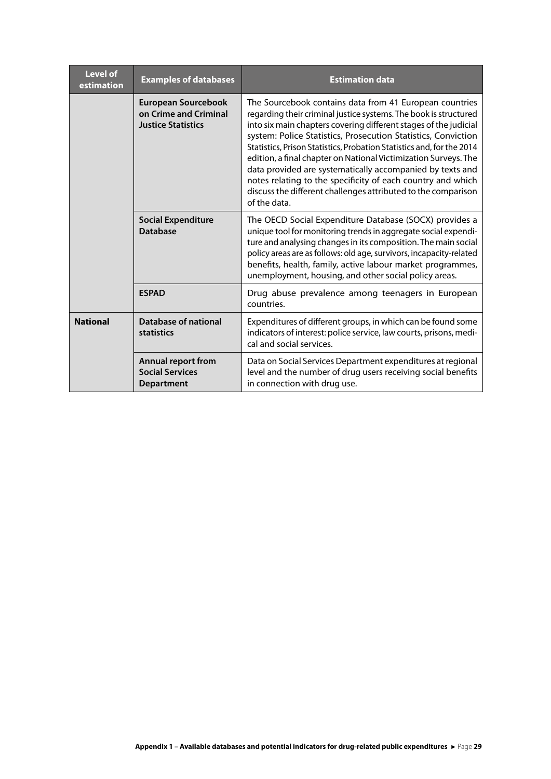| <b>Level of</b><br>estimation | <b>Examples of databases</b>                                              | <b>Estimation data</b>                                                                                                                                                                                                                                                                                                                                                                                                                                                                                                                                                                                                    |
|-------------------------------|---------------------------------------------------------------------------|---------------------------------------------------------------------------------------------------------------------------------------------------------------------------------------------------------------------------------------------------------------------------------------------------------------------------------------------------------------------------------------------------------------------------------------------------------------------------------------------------------------------------------------------------------------------------------------------------------------------------|
|                               | European Sourcebook<br>on Crime and Criminal<br><b>Justice Statistics</b> | The Sourcebook contains data from 41 European countries<br>regarding their criminal justice systems. The book is structured<br>into six main chapters covering different stages of the judicial<br>system: Police Statistics, Prosecution Statistics, Conviction<br>Statistics, Prison Statistics, Probation Statistics and, for the 2014<br>edition, a final chapter on National Victimization Surveys. The<br>data provided are systematically accompanied by texts and<br>notes relating to the specificity of each country and which<br>discuss the different challenges attributed to the comparison<br>of the data. |
|                               | <b>Social Expenditure</b><br><b>Database</b>                              | The OECD Social Expenditure Database (SOCX) provides a<br>unique tool for monitoring trends in aggregate social expendi-<br>ture and analysing changes in its composition. The main social<br>policy areas are as follows: old age, survivors, incapacity-related<br>benefits, health, family, active labour market programmes,<br>unemployment, housing, and other social policy areas.                                                                                                                                                                                                                                  |
|                               | <b>ESPAD</b>                                                              | Drug abuse prevalence among teenagers in European<br>countries.                                                                                                                                                                                                                                                                                                                                                                                                                                                                                                                                                           |
| <b>National</b>               | Database of national<br>statistics                                        | Expenditures of different groups, in which can be found some<br>indicators of interest: police service, law courts, prisons, medi-<br>cal and social services.                                                                                                                                                                                                                                                                                                                                                                                                                                                            |
|                               | Annual report from<br><b>Social Services</b><br><b>Department</b>         | Data on Social Services Department expenditures at regional<br>level and the number of drug users receiving social benefits<br>in connection with drug use.                                                                                                                                                                                                                                                                                                                                                                                                                                                               |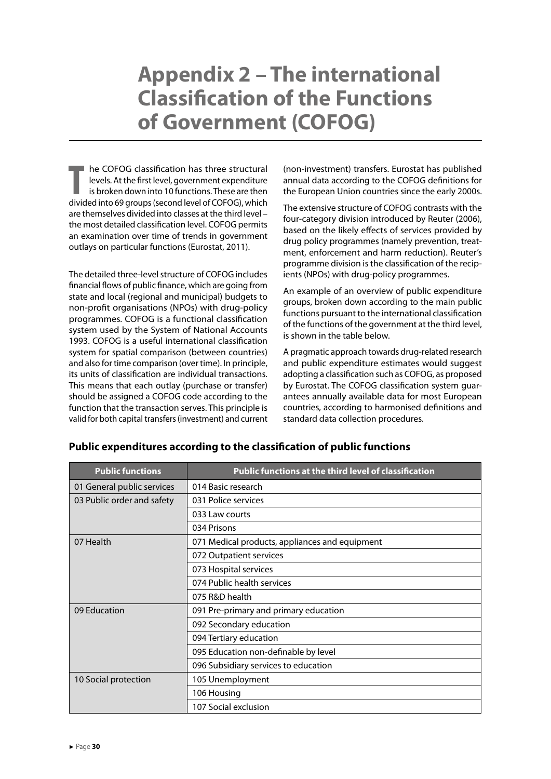# <span id="page-30-0"></span>**Appendix 2 – The international Classification of the Functions of Government (COFOG)**

**THE COFOG classification has three structural<br>levels. At the first level, government expenditure<br>is broken down into 10 functions. These are then<br>divided into 69 groups (second level of COEOG) which** levels. At the first level, government expenditure is broken down into 10 functions. These are then divided into 69 groups (second level of COFOG), which are themselves divided into classes at the third level – the most detailed classification level. COFOG permits an examination over time of trends in government outlays on particular functions (Eurostat, 2011).

The detailed three-level structure of COFOG includes financial flows of public finance, which are going from state and local (regional and municipal) budgets to non-profit organisations (NPOs) with drug-policy programmes. COFOG is a functional classification system used by the System of National Accounts 1993. COFOG is a useful international classification system for spatial comparison (between countries) and also for time comparison (over time). In principle, its units of classification are individual transactions. This means that each outlay (purchase or transfer) should be assigned a COFOG code according to the function that the transaction serves. This principle is valid for both capital transfers (investment) and current (non-investment) transfers. Eurostat has published annual data according to the COFOG definitions for the European Union countries since the early 2000s.

The extensive structure of COFOG contrasts with the four-category division introduced by Reuter (2006), based on the likely effects of services provided by drug policy programmes (namely prevention, treatment, enforcement and harm reduction). Reuter's programme division is the classification of the recipients (NPOs) with drug-policy programmes.

An example of an overview of public expenditure groups, broken down according to the main public functions pursuant to the international classification of the functions of the government at the third level, is shown in the table below.

A pragmatic approach towards drug-related research and public expenditure estimates would suggest adopting a classification such as COFOG, as proposed by Eurostat. The COFOG classification system guarantees annually available data for most European countries, according to harmonised definitions and standard data collection procedures.

| <b>Public functions</b>    | Public functions at the third level of classification |
|----------------------------|-------------------------------------------------------|
| 01 General public services | 014 Basic research                                    |
| 03 Public order and safety | 031 Police services                                   |
|                            | 033 Law courts                                        |
|                            | 034 Prisons                                           |
| 07 Health                  | 071 Medical products, appliances and equipment        |
|                            | 072 Outpatient services                               |
|                            | 073 Hospital services                                 |
|                            | 074 Public health services                            |
|                            | 075 R&D health                                        |
| 09 Education               | 091 Pre-primary and primary education                 |
|                            | 092 Secondary education                               |
|                            | 094 Tertiary education                                |
|                            | 095 Education non-definable by level                  |
|                            | 096 Subsidiary services to education                  |
| 10 Social protection       | 105 Unemployment                                      |
|                            | 106 Housing                                           |
|                            | 107 Social exclusion                                  |

#### **Public expenditures according to the classification of public functions**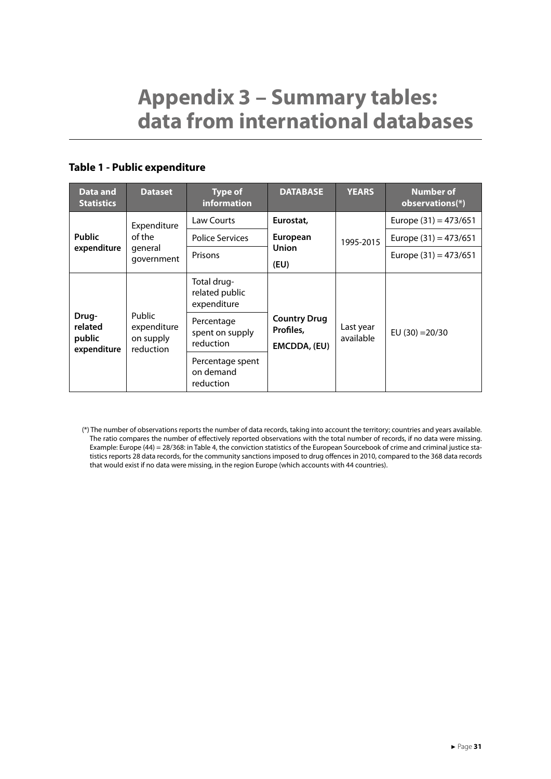# <span id="page-31-0"></span>**Appendix 3 – Summary tables: data from international databases**

#### **Table 1 - Public expenditure**

| Data and<br><b>Statistics</b>             | <b>Dataset</b>                                         | <b>Type of</b><br><b>information</b>         | <b>DATABASE</b>                                  | <b>YEARS</b>           | <b>Number of</b><br>observations(*) |
|-------------------------------------------|--------------------------------------------------------|----------------------------------------------|--------------------------------------------------|------------------------|-------------------------------------|
|                                           | Expenditure                                            | Law Courts                                   | Eurostat,                                        |                        | Europe $(31) = 473/651$             |
| <b>Public</b><br>expenditure              | of the<br>general<br>government                        | <b>Police Services</b>                       | European                                         | 1995-2015              | Europe $(31) = 473/651$             |
|                                           |                                                        | Prisons                                      | <b>Union</b><br>(EU)                             |                        | Europe $(31) = 473/651$             |
|                                           |                                                        | Total drug-<br>related public<br>expenditure |                                                  |                        |                                     |
| Drug-<br>related<br>public<br>expenditure | <b>Public</b><br>expenditure<br>on supply<br>reduction | Percentage<br>spent on supply<br>reduction   | <b>Country Drug</b><br>Profiles,<br>EMCDDA, (EU) | Last year<br>available | EU $(30) = 20/30$                   |
|                                           |                                                        | Percentage spent<br>on demand<br>reduction   |                                                  |                        |                                     |

(\*) The number of observations reports the number of data records, taking into account the territory; countries and years available. The ratio compares the number of effectively reported observations with the total number of records, if no data were missing. Example: Europe (44) = 28/368: in Table 4, the conviction statistics of the European Sourcebook of crime and criminal justice statistics reports 28 data records, for the community sanctions imposed to drug offences in 2010, compared to the 368 data records that would exist if no data were missing, in the region Europe (which accounts with 44 countries).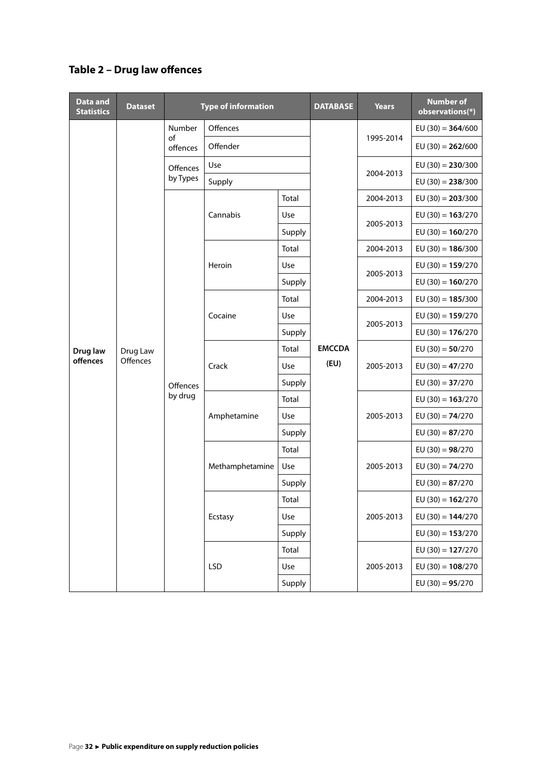### **Table 2 – Drug law offences**

| <b>Data and</b><br><b>Statistics</b> | <b>Dataset</b>       |                     | <b>Type of information</b> |        | <b>DATABASE</b> | <b>Years</b> | <b>Number of</b><br>observations(*) |
|--------------------------------------|----------------------|---------------------|----------------------------|--------|-----------------|--------------|-------------------------------------|
|                                      |                      | Number              | Offences                   |        |                 |              | EU $(30) = 364/600$                 |
|                                      |                      | of<br>offences      | Offender                   |        |                 | 1995-2014    | EU $(30) = 262/600$                 |
|                                      |                      | Offences            | Use                        |        |                 | 2004-2013    | EU $(30) = 230/300$                 |
|                                      |                      | by Types            | Supply                     |        |                 |              | EU $(30) = 238/300$                 |
|                                      |                      |                     |                            | Total  |                 | 2004-2013    | $EU (30) = 203/300$                 |
|                                      |                      |                     | Cannabis                   | Use    |                 |              | $EU (30) = 163/270$                 |
|                                      |                      |                     |                            | Supply |                 | 2005-2013    | EU $(30) = 160/270$                 |
|                                      |                      |                     |                            | Total  |                 | 2004-2013    | EU $(30) = 186/300$                 |
|                                      |                      |                     | Heroin                     | Use    |                 | 2005-2013    | EU $(30) = 159/270$                 |
|                                      |                      |                     |                            | Supply |                 |              | EU $(30) = 160/270$                 |
|                                      |                      |                     |                            | Total  |                 | 2004-2013    | EU $(30) = 185/300$                 |
|                                      |                      | Offences<br>by drug | Cocaine                    | Use    |                 | 2005-2013    | EU $(30) = 159/270$                 |
|                                      |                      |                     |                            | Supply |                 |              | EU $(30) = 176/270$                 |
| Drug law                             | Drug Law<br>Offences |                     | Crack                      | Total  | <b>EMCCDA</b>   | 2005-2013    | EU $(30) = 50/270$                  |
| offences                             |                      |                     |                            | Use    | (EU)            |              | EU $(30) = 47/270$                  |
|                                      |                      |                     |                            | Supply |                 |              | EU $(30) = 37/270$                  |
|                                      |                      |                     | Amphetamine                | Total  |                 | 2005-2013    | EU $(30) = 163/270$                 |
|                                      |                      |                     |                            | Use    |                 |              | EU $(30) = 74/270$                  |
|                                      |                      |                     |                            | Supply |                 |              | EU $(30) = 87/270$                  |
|                                      |                      |                     | Methamphetamine            | Total  |                 | 2005-2013    | EU $(30) = 98/270$                  |
|                                      |                      |                     |                            | Use    |                 |              | EU $(30) = 74/270$                  |
|                                      |                      |                     |                            | Supply |                 |              | EU $(30) = 87/270$                  |
|                                      |                      |                     |                            | Total  |                 |              | EU $(30) = 162/270$                 |
|                                      |                      |                     | Ecstasy                    | Use    |                 | 2005-2013    | EU (30) = $144/270$                 |
|                                      |                      |                     |                            | Supply |                 |              | $EU(30) = 153/270$                  |
|                                      |                      |                     | <b>LSD</b>                 | Total  |                 |              | EU (30) = $127/270$                 |
|                                      |                      |                     |                            | Use    |                 | 2005-2013    | EU (30) = $108/270$                 |
|                                      |                      |                     |                            | Supply |                 |              | EU $(30) = 95/270$                  |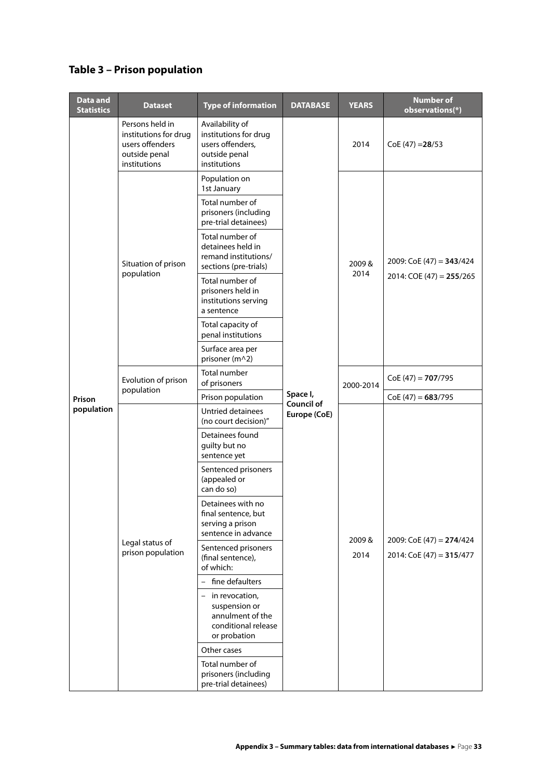### **Table 3 – Prison population**

| Data and<br><b>Statistics</b> | <b>Dataset</b>                                                                               | <b>Type of information</b>                                                                    | <b>DATABASE</b>                   | <b>YEARS</b>  | <b>Number of</b><br>observations(*)                     |
|-------------------------------|----------------------------------------------------------------------------------------------|-----------------------------------------------------------------------------------------------|-----------------------------------|---------------|---------------------------------------------------------|
|                               | Persons held in<br>institutions for drug<br>users offenders<br>outside penal<br>institutions | Availability of<br>institutions for drug<br>users offenders,<br>outside penal<br>institutions |                                   | 2014          | $CoE(47) = 28/53$                                       |
|                               |                                                                                              | Population on<br>1st January                                                                  |                                   |               |                                                         |
|                               |                                                                                              | Total number of<br>prisoners (including<br>pre-trial detainees)                               |                                   | 2009&<br>2014 |                                                         |
|                               | Situation of prison                                                                          | Total number of<br>detainees held in<br>remand institutions/<br>sections (pre-trials)         |                                   |               | 2009: $\text{CoE}$ (47) = <b>343</b> /424               |
|                               | population                                                                                   | Total number of<br>prisoners held in<br>institutions serving<br>a sentence                    |                                   |               | 2014: COE (47) = $255/265$                              |
|                               |                                                                                              | Total capacity of<br>penal institutions                                                       |                                   |               |                                                         |
|                               |                                                                                              | Surface area per<br>prisoner (m^2)                                                            |                                   |               |                                                         |
|                               | Evolution of prison<br>population                                                            | Total number<br>of prisoners                                                                  |                                   | 2000-2014     | $CoE(47) = 707/795$                                     |
| Prison<br>population          |                                                                                              | Prison population                                                                             | Space I,                          |               | $CoE(47) = 683/795$                                     |
|                               | Legal status of<br>prison population                                                         | Untried detainees<br>(no court decision)"                                                     | <b>Council of</b><br>Europe (CoE) |               |                                                         |
|                               |                                                                                              | Detainees found<br>guilty but no<br>sentence yet                                              |                                   | 2009&<br>2014 | 2009: CoE (47) = $274/424$<br>2014: $CoE(47) = 315/477$ |
|                               |                                                                                              | Sentenced prisoners<br>(appealed or<br>can do so)                                             |                                   |               |                                                         |
|                               |                                                                                              | Detainees with no<br>final sentence, but<br>serving a prison<br>sentence in advance           |                                   |               |                                                         |
|                               |                                                                                              | Sentenced prisoners<br>(final sentence),<br>of which:                                         |                                   |               |                                                         |
|                               |                                                                                              | - fine defaulters                                                                             |                                   |               |                                                         |
|                               |                                                                                              | - in revocation,<br>suspension or<br>annulment of the<br>conditional release<br>or probation  |                                   |               |                                                         |
|                               |                                                                                              | Other cases                                                                                   |                                   |               |                                                         |
|                               |                                                                                              | Total number of<br>prisoners (including<br>pre-trial detainees)                               |                                   |               |                                                         |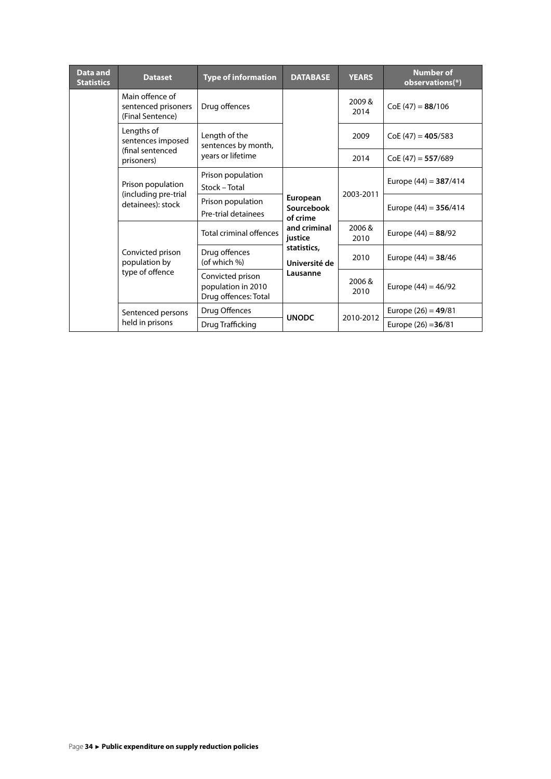| Data and<br><b>Statistics</b> | <b>Dataset</b>                                             | <b>Type of information</b>                                     | <b>DATABASE</b>                                                                               | <b>YEARS</b>  | <b>Number of</b><br>observations(*) |
|-------------------------------|------------------------------------------------------------|----------------------------------------------------------------|-----------------------------------------------------------------------------------------------|---------------|-------------------------------------|
|                               | Main offence of<br>sentenced prisoners<br>(Final Sentence) | Drug offences                                                  |                                                                                               | 2009&<br>2014 | $CoE(47) = 88/106$                  |
|                               | Lengths of<br>sentences imposed                            | Length of the<br>sentences by month,                           |                                                                                               | 2009          | $CoE(47) = 405/583$                 |
|                               | (final sentenced<br>prisoners)                             | years or lifetime                                              |                                                                                               | 2014          | $CoE(47) = 557/689$                 |
|                               | Prison population<br>Stock - Total                         | Prison population                                              | European<br>Sourcebook<br>of crime<br>and criminal<br>justice<br>statistics,<br>Université de | 2003-2011     | Europe $(44) = 387/414$             |
|                               | (including pre-trial<br>detainees): stock                  | Prison population<br>Pre-trial detainees                       |                                                                                               |               | Europe $(44) = 356/414$             |
|                               |                                                            | Total criminal offences                                        |                                                                                               | 2006&<br>2010 | Europe $(44) = 88/92$               |
|                               | Convicted prison<br>population by                          | Drug offences<br>(of which %)                                  |                                                                                               | 2010          | Europe $(44) = 38/46$               |
|                               | type of offence                                            | Convicted prison<br>population in 2010<br>Drug offences: Total | Lausanne                                                                                      | 2006&<br>2010 | Europe $(44) = 46/92$               |
|                               | Sentenced persons                                          | Drug Offences                                                  | <b>UNODC</b>                                                                                  | 2010-2012     | Europe $(26) = 49/81$               |
|                               | held in prisons                                            | Drug Trafficking                                               |                                                                                               |               | Europe $(26) = 36/81$               |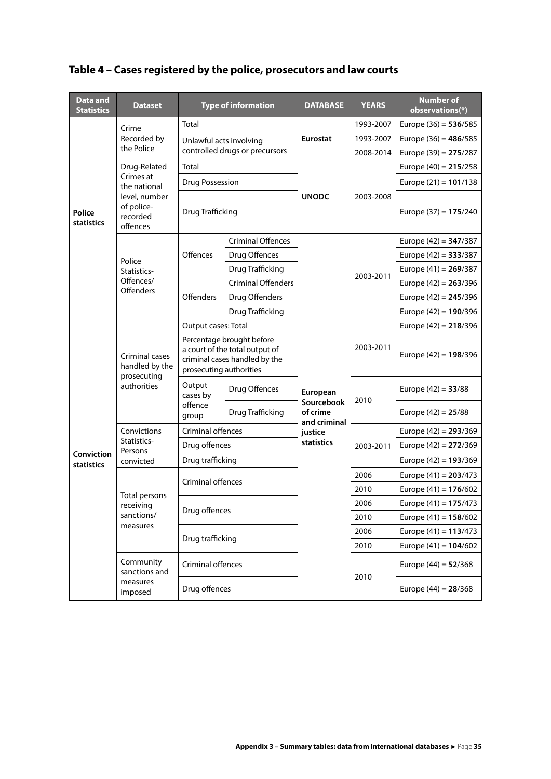| Data and<br><b>Statistics</b>          | <b>Dataset</b>                                                 |                                                                                                                         | <b>Type of information</b>     | <b>DATABASE</b>                                    | <b>YEARS</b> | <b>Number of</b><br>observations(*) |
|----------------------------------------|----------------------------------------------------------------|-------------------------------------------------------------------------------------------------------------------------|--------------------------------|----------------------------------------------------|--------------|-------------------------------------|
|                                        | Crime                                                          | Total                                                                                                                   |                                |                                                    | 1993-2007    | Europe $(36) = 536/585$             |
|                                        | Recorded by                                                    |                                                                                                                         | Unlawful acts involving        |                                                    | 1993-2007    | Europe $(36) = 486/585$             |
|                                        | the Police                                                     |                                                                                                                         | controlled drugs or precursors |                                                    | 2008-2014    | Europe $(39) = 275/287$             |
|                                        | Drug-Related                                                   | Total                                                                                                                   |                                |                                                    |              | Europe $(40) = 215/258$             |
|                                        | Crimes at<br>the national                                      | Drug Possession                                                                                                         |                                |                                                    |              | Europe $(21) = 101/138$             |
| Police<br>statistics                   | level, number<br>of police-<br>recorded<br>offences            | Drug Trafficking                                                                                                        |                                | <b>UNODC</b>                                       | 2003-2008    | Europe $(37) = 175/240$             |
|                                        |                                                                |                                                                                                                         | <b>Criminal Offences</b>       |                                                    |              | Europe $(42) = 347/387$             |
|                                        | Police                                                         | Offences                                                                                                                | Drug Offences                  |                                                    |              | Europe $(42) = 333/387$             |
|                                        | Statistics-                                                    |                                                                                                                         | Drug Trafficking               |                                                    |              | Europe $(41) = 269/387$             |
|                                        | Offences/                                                      |                                                                                                                         | <b>Criminal Offenders</b>      |                                                    | 2003-2011    | Europe $(42) = 263/396$             |
|                                        | <b>Offenders</b>                                               | <b>Offenders</b>                                                                                                        | Drug Offenders                 |                                                    |              | Europe $(42) = 245/396$             |
|                                        |                                                                |                                                                                                                         | Drug Trafficking               |                                                    |              | Europe $(42) = 190/396$             |
|                                        | Criminal cases<br>handled by the<br>prosecuting<br>authorities | Output cases: Total                                                                                                     |                                |                                                    |              | Europe $(42) = 218/396$             |
|                                        |                                                                | Percentage brought before<br>a court of the total output of<br>criminal cases handled by the<br>prosecuting authorities |                                |                                                    | 2003-2011    | Europe $(42) = 198/396$             |
|                                        |                                                                | Output<br>cases by<br>offence<br>group                                                                                  | Drug Offences                  | European<br>Sourcebook<br>of crime<br>and criminal | 2010         | Europe $(42) = 33/88$               |
|                                        |                                                                |                                                                                                                         | Drug Trafficking               |                                                    |              | Europe $(42) = 25/88$               |
|                                        | Convictions                                                    | <b>Criminal offences</b>                                                                                                |                                | justice                                            |              | Europe $(42) = 293/369$             |
|                                        | Statistics-<br>Persons                                         | Drug offences                                                                                                           |                                | statistics                                         | 2003-2011    | Europe $(42) = 272/369$             |
| <b>Conviction</b><br><b>statistics</b> | convicted                                                      | Drug trafficking                                                                                                        |                                |                                                    |              | Europe $(42) = 193/369$             |
|                                        |                                                                | Criminal offences                                                                                                       |                                |                                                    | 2006         | Europe $(41) = 203/473$             |
|                                        | Total persons                                                  |                                                                                                                         |                                |                                                    | 2010         | Europe $(41) = 176/602$             |
|                                        | receiving                                                      | Drug offences                                                                                                           |                                |                                                    | 2006         | Europe $(41) = 175/473$             |
|                                        | sanctions/<br>measures                                         |                                                                                                                         |                                |                                                    | 2010         | Europe $(41) = 158/602$             |
|                                        |                                                                | Drug trafficking                                                                                                        |                                |                                                    | 2006         | Europe $(41) = 113/473$             |
|                                        |                                                                |                                                                                                                         |                                |                                                    | 2010         | Europe $(41) = 104/602$             |
|                                        | Community<br>sanctions and                                     | Criminal offences                                                                                                       |                                |                                                    | 2010         | Europe $(44) = 52/368$              |
|                                        | measures<br>imposed                                            | Drug offences                                                                                                           |                                |                                                    |              | Europe $(44) = 28/368$              |

### **Table 4 – Cases registered by the police, prosecutors and law courts**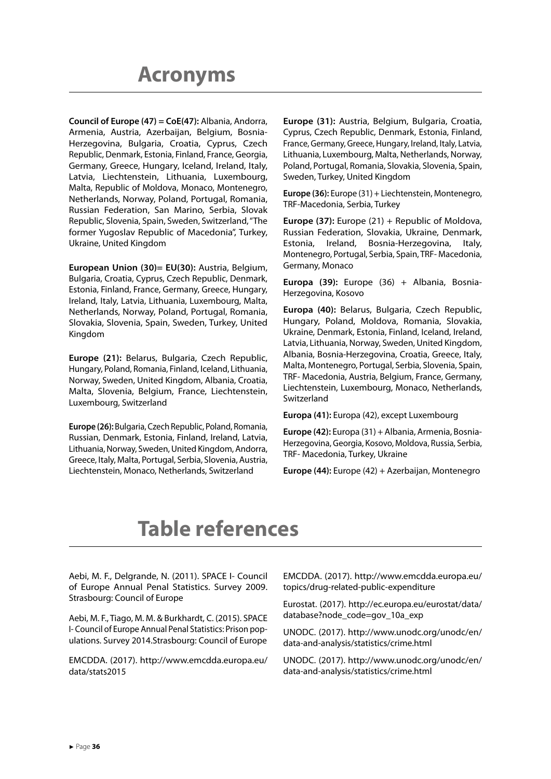<span id="page-36-0"></span>**Council of Europe (47) = CoE(47):** Albania, Andorra, Armenia, Austria, Azerbaijan, Belgium, Bosnia-Herzegovina, Bulgaria, Croatia, Cyprus, Czech Republic, Denmark, Estonia, Finland, France, Georgia, Germany, Greece, Hungary, Iceland, Ireland, Italy, Latvia, Liechtenstein, Lithuania, Luxembourg, Malta, Republic of Moldova, Monaco, Montenegro, Netherlands, Norway, Poland, Portugal, Romania, Russian Federation, San Marino, Serbia, Slovak Republic, Slovenia, Spain, Sweden, Switzerland, "The former Yugoslav Republic of Macedonia", Turkey, Ukraine, United Kingdom

**European Union (30)= EU(30):** Austria, Belgium, Bulgaria, Croatia, Cyprus, Czech Republic, Denmark, Estonia, Finland, France, Germany, Greece, Hungary, Ireland, Italy, Latvia, Lithuania, Luxembourg, Malta, Netherlands, Norway, Poland, Portugal, Romania, Slovakia, Slovenia, Spain, Sweden, Turkey, United Kingdom

**Europe (21):** Belarus, Bulgaria, Czech Republic, Hungary, Poland, Romania, Finland, Iceland, Lithuania, Norway, Sweden, United Kingdom, Albania, Croatia, Malta, Slovenia, Belgium, France, Liechtenstein, Luxembourg, Switzerland

**Europe (26):** Bulgaria, Czech Republic, Poland, Romania, Russian, Denmark, Estonia, Finland, Ireland, Latvia, Lithuania, Norway, Sweden, United Kingdom, Andorra, Greece, Italy, Malta, Portugal, Serbia, Slovenia, Austria, Liechtenstein, Monaco, Netherlands, Switzerland

**Europe (31):** Austria, Belgium, Bulgaria, Croatia, Cyprus, Czech Republic, Denmark, Estonia, Finland, France, Germany, Greece, Hungary, Ireland, Italy, Latvia, Lithuania, Luxembourg, Malta, Netherlands, Norway, Poland, Portugal, Romania, Slovakia, Slovenia, Spain, Sweden, Turkey, United Kingdom

**Europe (36):** Europe (31) + Liechtenstein, Montenegro, TRF-Macedonia, Serbia, Turkey

**Europe (37):** Europe (21) + Republic of Moldova, Russian Federation, Slovakia, Ukraine, Denmark, Estonia, Ireland, Bosnia-Herzegovina, Italy, Montenegro, Portugal, Serbia, Spain, TRF- Macedonia, Germany, Monaco

**Europa (39):** Europe (36) + Albania, Bosnia-Herzegovina, Kosovo

**Europa (40):** Belarus, Bulgaria, Czech Republic, Hungary, Poland, Moldova, Romania, Slovakia, Ukraine, Denmark, Estonia, Finland, Iceland, Ireland, Latvia, Lithuania, Norway, Sweden, United Kingdom, Albania, Bosnia-Herzegovina, Croatia, Greece, Italy, Malta, Montenegro, Portugal, Serbia, Slovenia, Spain, TRF- Macedonia, Austria, Belgium, France, Germany, Liechtenstein, Luxembourg, Monaco, Netherlands, Switzerland

**Europa (41):** Europa (42), except Luxembourg

**Europe (42):** Europa (31) + Albania, Armenia, Bosnia-Herzegovina, Georgia, Kosovo, Moldova, Russia, Serbia, TRF- Macedonia, Turkey, Ukraine

**Europe (44):** Europe (42) + Azerbaijan, Montenegro

# **Table references**

Aebi, M. F., Delgrande, N. (2011). SPACE I- Council of Europe Annual Penal Statistics. Survey 2009. Strasbourg: Council of Europe

Aebi, M. F., Tiago, M. M. & Burkhardt, C. (2015). SPACE I- Council of Europe Annual Penal Statistics: Prison populations. Survey 2014.Strasbourg: Council of Europe

EMCDDA. (2017). http://www.emcdda.europa.eu/ data/stats2015

EMCDDA. (2017). http://www.emcdda.europa.eu/ topics/drug-related-public-expenditure

Eurostat. (2017). http://ec.europa.eu/eurostat/data/ database?node\_code=gov\_10a\_exp

UNODC. (2017). http://www.unodc.org/unodc/en/ data-and-analysis/statistics/crime.html

UNODC. (2017). http://www.unodc.org/unodc/en/ data-and-analysis/statistics/crime.html